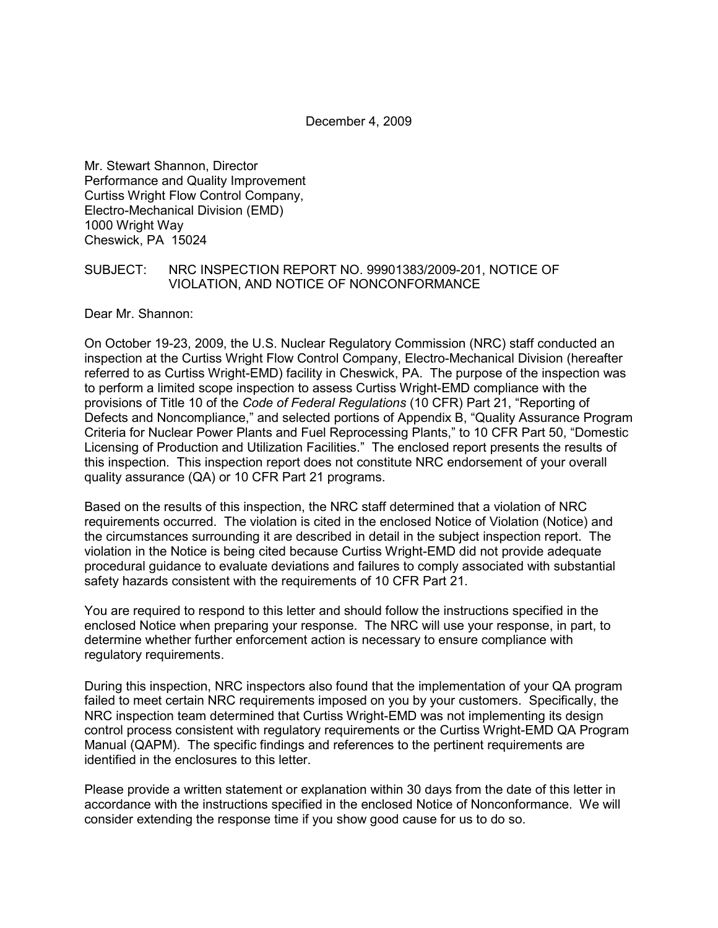December 4, 2009

Mr. Stewart Shannon, Director Performance and Quality Improvement Curtiss Wright Flow Control Company, Electro-Mechanical Division (EMD) 1000 Wright Way Cheswick, PA 15024

#### SUBJECT: NRC INSPECTION REPORT NO. 99901383/2009-201, NOTICE OF VIOLATION, AND NOTICE OF NONCONFORMANCE

Dear Mr. Shannon:

On October 19-23, 2009, the U.S. Nuclear Regulatory Commission (NRC) staff conducted an inspection at the Curtiss Wright Flow Control Company, Electro-Mechanical Division (hereafter referred to as Curtiss Wright-EMD) facility in Cheswick, PA. The purpose of the inspection was to perform a limited scope inspection to assess Curtiss Wright-EMD compliance with the provisions of Title 10 of the *Code of Federal Regulations* (10 CFR) Part 21, "Reporting of Defects and Noncompliance," and selected portions of Appendix B, "Quality Assurance Program Criteria for Nuclear Power Plants and Fuel Reprocessing Plants," to 10 CFR Part 50, "Domestic Licensing of Production and Utilization Facilities." The enclosed report presents the results of this inspection. This inspection report does not constitute NRC endorsement of your overall quality assurance (QA) or 10 CFR Part 21 programs.

Based on the results of this inspection, the NRC staff determined that a violation of NRC requirements occurred. The violation is cited in the enclosed Notice of Violation (Notice) and the circumstances surrounding it are described in detail in the subject inspection report. The violation in the Notice is being cited because Curtiss Wright-EMD did not provide adequate procedural guidance to evaluate deviations and failures to comply associated with substantial safety hazards consistent with the requirements of 10 CFR Part 21.

You are required to respond to this letter and should follow the instructions specified in the enclosed Notice when preparing your response. The NRC will use your response, in part, to determine whether further enforcement action is necessary to ensure compliance with regulatory requirements.

During this inspection, NRC inspectors also found that the implementation of your QA program failed to meet certain NRC requirements imposed on you by your customers. Specifically, the NRC inspection team determined that Curtiss Wright-EMD was not implementing its design control process consistent with regulatory requirements or the Curtiss Wright-EMD QA Program Manual (QAPM). The specific findings and references to the pertinent requirements are identified in the enclosures to this letter.

Please provide a written statement or explanation within 30 days from the date of this letter in accordance with the instructions specified in the enclosed Notice of Nonconformance. We will consider extending the response time if you show good cause for us to do so.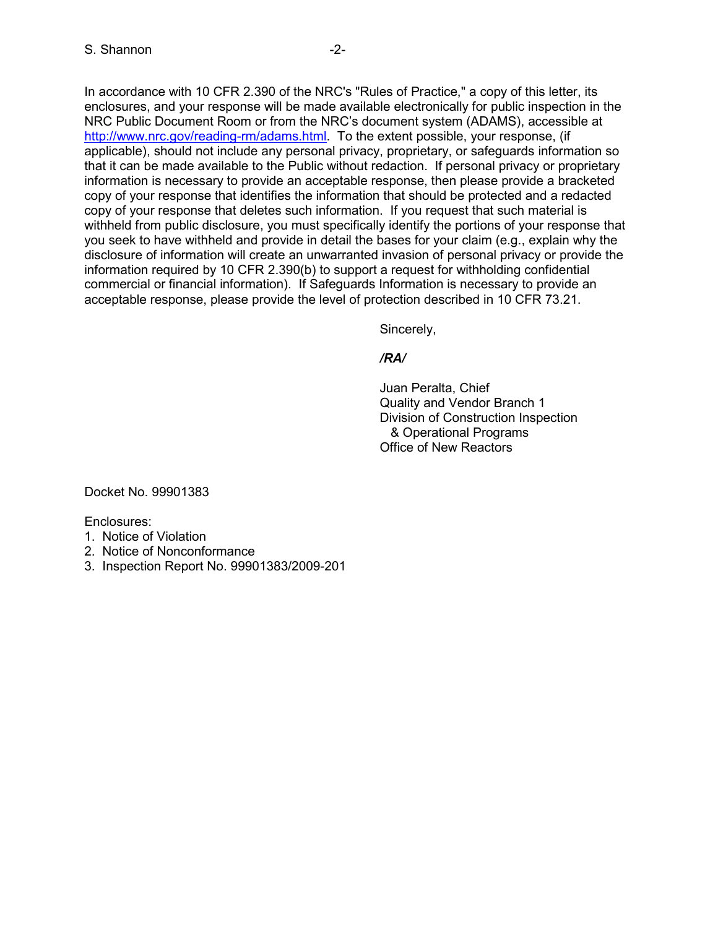In accordance with 10 CFR 2.390 of the NRC's "Rules of Practice," a copy of this letter, its enclosures, and your response will be made available electronically for public inspection in the NRC Public Document Room or from the NRC's document system (ADAMS), accessible at http://www.nrc.gov/reading-rm/adams.html. To the extent possible, your response, (if applicable), should not include any personal privacy, proprietary, or safeguards information so that it can be made available to the Public without redaction. If personal privacy or proprietary information is necessary to provide an acceptable response, then please provide a bracketed copy of your response that identifies the information that should be protected and a redacted copy of your response that deletes such information. If you request that such material is withheld from public disclosure, you must specifically identify the portions of your response that you seek to have withheld and provide in detail the bases for your claim (e.g., explain why the disclosure of information will create an unwarranted invasion of personal privacy or provide the information required by 10 CFR 2.390(b) to support a request for withholding confidential commercial or financial information). If Safeguards Information is necessary to provide an acceptable response, please provide the level of protection described in 10 CFR 73.21.

Sincerely,

### */RA/*

 Juan Peralta, Chief Quality and Vendor Branch 1 Division of Construction Inspection & Operational Programs Office of New Reactors

Docket No. 99901383

Enclosures:

- 1. Notice of Violation
- 2. Notice of Nonconformance
- 3. Inspection Report No. 99901383/2009-201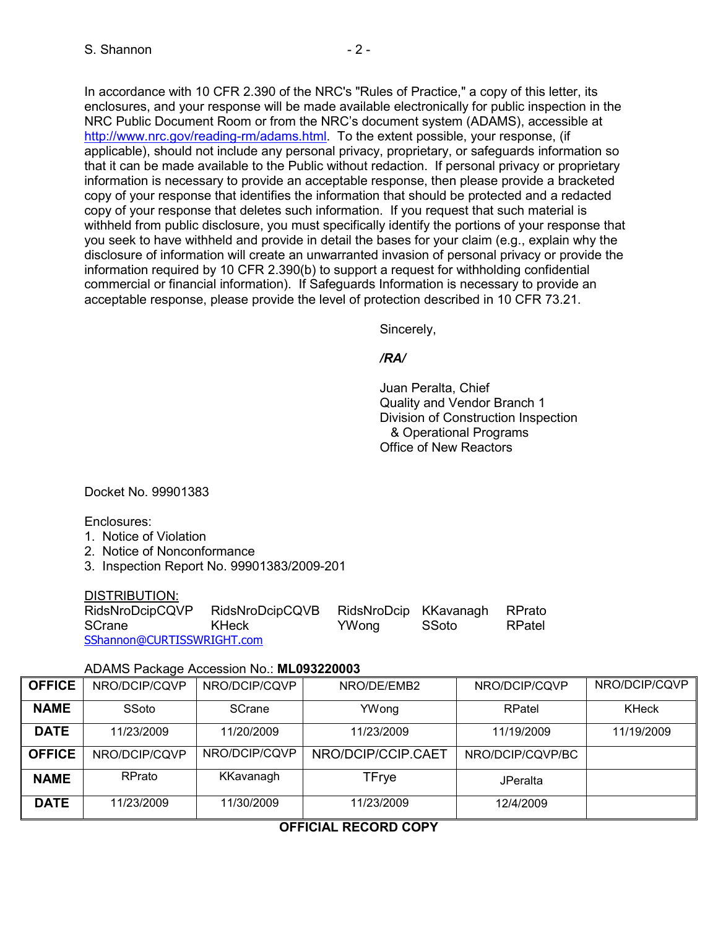In accordance with 10 CFR 2.390 of the NRC's "Rules of Practice," a copy of this letter, its enclosures, and your response will be made available electronically for public inspection in the NRC Public Document Room or from the NRC's document system (ADAMS), accessible at http://www.nrc.gov/reading-rm/adams.html. To the extent possible, your response, (if applicable), should not include any personal privacy, proprietary, or safeguards information so that it can be made available to the Public without redaction. If personal privacy or proprietary information is necessary to provide an acceptable response, then please provide a bracketed copy of your response that identifies the information that should be protected and a redacted copy of your response that deletes such information. If you request that such material is withheld from public disclosure, you must specifically identify the portions of your response that you seek to have withheld and provide in detail the bases for your claim (e.g., explain why the disclosure of information will create an unwarranted invasion of personal privacy or provide the information required by 10 CFR 2.390(b) to support a request for withholding confidential commercial or financial information). If Safeguards Information is necessary to provide an acceptable response, please provide the level of protection described in 10 CFR 73.21.

Sincerely,

#### */RA/*

 Juan Peralta, Chief Quality and Vendor Branch 1 Division of Construction Inspection & Operational Programs Office of New Reactors

Docket No. 99901383

Enclosures:

- 1. Notice of Violation
- 2. Notice of Nonconformance
- 3. Inspection Report No. 99901383/2009-201

#### DISTRIBUTION:

| RidsNroDcipCQVP            | RidsNroDcipCQVB | RidsNroDcip KKavanagh |       | RPrato |
|----------------------------|-----------------|-----------------------|-------|--------|
| SCrane                     | KHeck           | YWona                 | SSoto | RPatel |
| SShannon@CURTISSWRIGHT.com |                 |                       |       |        |

#### ADAMS Package Accession No.: **ML093220003**

| <b>OFFICE</b> | NRO/DCIP/CQVP | NRO/DCIP/CQVP | NRO/DE/EMB2        | NRO/DCIP/CQVP    | NRO/DCIP/CQVP |
|---------------|---------------|---------------|--------------------|------------------|---------------|
| <b>NAME</b>   | SSoto         | <b>SCrane</b> | YWong              | RPatel           | <b>KHeck</b>  |
| <b>DATE</b>   | 11/23/2009    | 11/20/2009    | 11/23/2009         | 11/19/2009       | 11/19/2009    |
| <b>OFFICE</b> | NRO/DCIP/CQVP | NRO/DCIP/COVP | NRO/DCIP/CCIP.CAET | NRO/DCIP/CQVP/BC |               |
| <b>NAME</b>   | <b>RPrato</b> | KKavanagh     | <b>TFrye</b>       | <b>JPeralta</b>  |               |
| <b>DATE</b>   | 11/23/2009    | 11/30/2009    | 11/23/2009         | 12/4/2009        |               |

# **OFFICIAL RECORD COPY**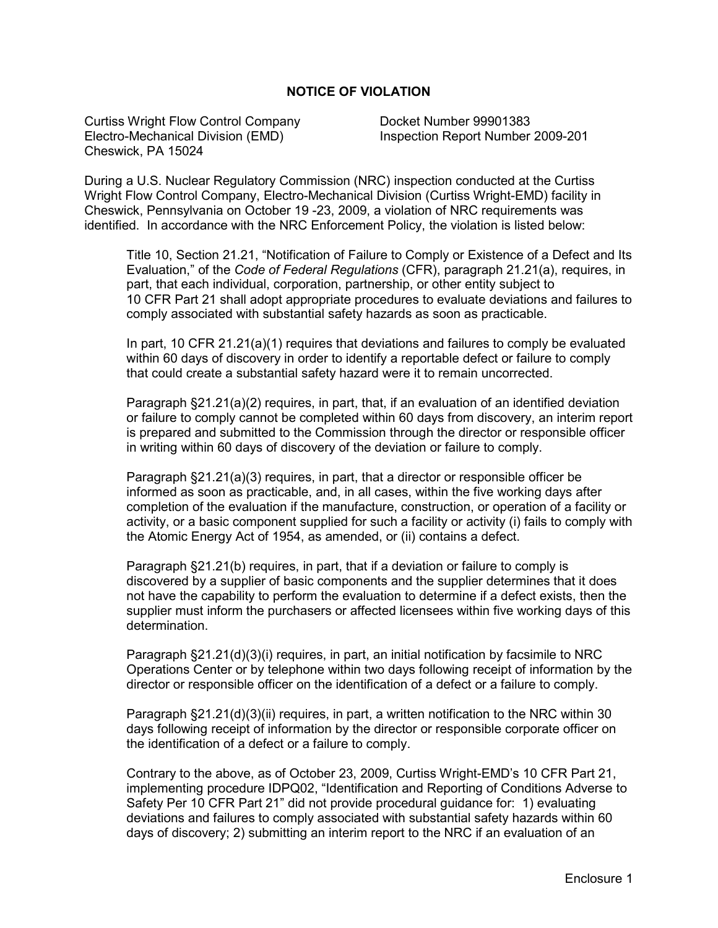#### **NOTICE OF VIOLATION**

Curtiss Wright Flow Control Company Docket Number 99901383 Electro-Mechanical Division (EMD) Inspection Report Number 2009-201 Cheswick, PA 15024

During a U.S. Nuclear Regulatory Commission (NRC) inspection conducted at the Curtiss Wright Flow Control Company, Electro-Mechanical Division (Curtiss Wright-EMD) facility in Cheswick, Pennsylvania on October 19 -23, 2009, a violation of NRC requirements was identified. In accordance with the NRC Enforcement Policy, the violation is listed below:

Title 10, Section 21.21, "Notification of Failure to Comply or Existence of a Defect and Its Evaluation," of the *Code of Federal Regulations* (CFR), paragraph 21.21(a), requires, in part, that each individual, corporation, partnership, or other entity subject to 10 CFR Part 21 shall adopt appropriate procedures to evaluate deviations and failures to comply associated with substantial safety hazards as soon as practicable.

In part, 10 CFR 21.21(a)(1) requires that deviations and failures to comply be evaluated within 60 days of discovery in order to identify a reportable defect or failure to comply that could create a substantial safety hazard were it to remain uncorrected.

Paragraph §21.21(a)(2) requires, in part, that, if an evaluation of an identified deviation or failure to comply cannot be completed within 60 days from discovery, an interim report is prepared and submitted to the Commission through the director or responsible officer in writing within 60 days of discovery of the deviation or failure to comply.

Paragraph §21.21(a)(3) requires, in part, that a director or responsible officer be informed as soon as practicable, and, in all cases, within the five working days after completion of the evaluation if the manufacture, construction, or operation of a facility or activity, or a basic component supplied for such a facility or activity (i) fails to comply with the Atomic Energy Act of 1954, as amended, or (ii) contains a defect.

Paragraph §21.21(b) requires, in part, that if a deviation or failure to comply is discovered by a supplier of basic components and the supplier determines that it does not have the capability to perform the evaluation to determine if a defect exists, then the supplier must inform the purchasers or affected licensees within five working days of this determination.

Paragraph §21.21(d)(3)(i) requires, in part, an initial notification by facsimile to NRC Operations Center or by telephone within two days following receipt of information by the director or responsible officer on the identification of a defect or a failure to comply.

Paragraph §21.21(d)(3)(ii) requires, in part, a written notification to the NRC within 30 days following receipt of information by the director or responsible corporate officer on the identification of a defect or a failure to comply.

Contrary to the above, as of October 23, 2009, Curtiss Wright-EMD's 10 CFR Part 21, implementing procedure IDPQ02, "Identification and Reporting of Conditions Adverse to Safety Per 10 CFR Part 21" did not provide procedural guidance for: 1) evaluating deviations and failures to comply associated with substantial safety hazards within 60 days of discovery; 2) submitting an interim report to the NRC if an evaluation of an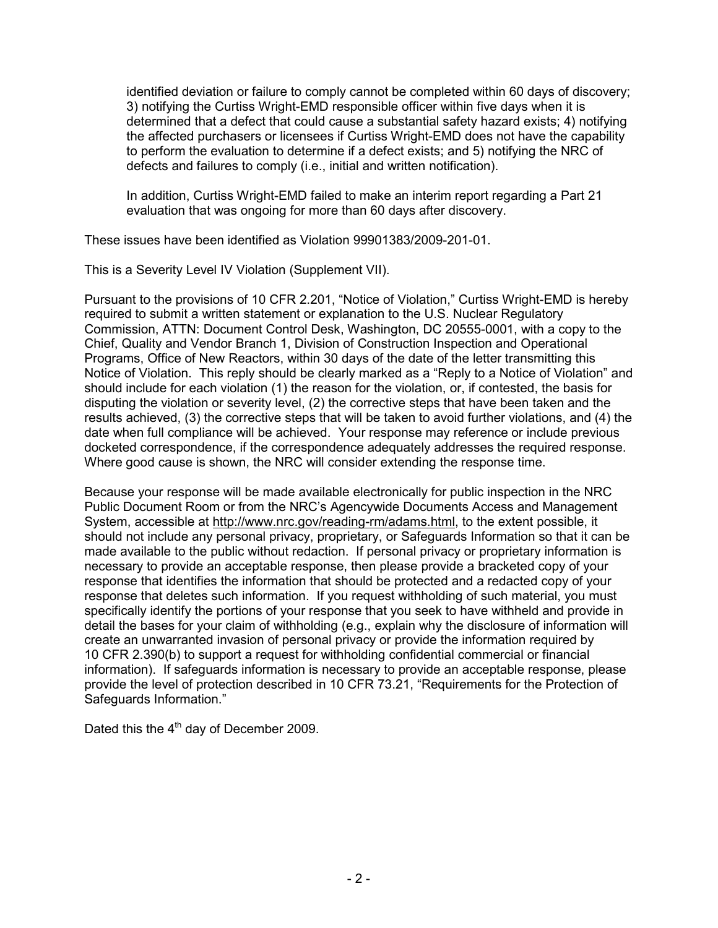identified deviation or failure to comply cannot be completed within 60 days of discovery; 3) notifying the Curtiss Wright-EMD responsible officer within five days when it is determined that a defect that could cause a substantial safety hazard exists; 4) notifying the affected purchasers or licensees if Curtiss Wright-EMD does not have the capability to perform the evaluation to determine if a defect exists; and 5) notifying the NRC of defects and failures to comply (i.e., initial and written notification).

In addition, Curtiss Wright-EMD failed to make an interim report regarding a Part 21 evaluation that was ongoing for more than 60 days after discovery.

These issues have been identified as Violation 99901383/2009-201-01.

This is a Severity Level IV Violation (Supplement VII).

Pursuant to the provisions of 10 CFR 2.201, "Notice of Violation," Curtiss Wright-EMD is hereby required to submit a written statement or explanation to the U.S. Nuclear Regulatory Commission, ATTN: Document Control Desk, Washington, DC 20555-0001, with a copy to the Chief, Quality and Vendor Branch 1, Division of Construction Inspection and Operational Programs, Office of New Reactors, within 30 days of the date of the letter transmitting this Notice of Violation. This reply should be clearly marked as a "Reply to a Notice of Violation" and should include for each violation (1) the reason for the violation, or, if contested, the basis for disputing the violation or severity level, (2) the corrective steps that have been taken and the results achieved, (3) the corrective steps that will be taken to avoid further violations, and (4) the date when full compliance will be achieved. Your response may reference or include previous docketed correspondence, if the correspondence adequately addresses the required response. Where good cause is shown, the NRC will consider extending the response time.

Because your response will be made available electronically for public inspection in the NRC Public Document Room or from the NRC's Agencywide Documents Access and Management System, accessible at http://www.nrc.gov/reading-rm/adams.html, to the extent possible, it should not include any personal privacy, proprietary, or Safeguards Information so that it can be made available to the public without redaction. If personal privacy or proprietary information is necessary to provide an acceptable response, then please provide a bracketed copy of your response that identifies the information that should be protected and a redacted copy of your response that deletes such information. If you request withholding of such material, you must specifically identify the portions of your response that you seek to have withheld and provide in detail the bases for your claim of withholding (e.g., explain why the disclosure of information will create an unwarranted invasion of personal privacy or provide the information required by 10 CFR 2.390(b) to support a request for withholding confidential commercial or financial information). If safeguards information is necessary to provide an acceptable response, please provide the level of protection described in 10 CFR 73.21, "Requirements for the Protection of Safeguards Information."

Dated this the  $4<sup>th</sup>$  day of December 2009.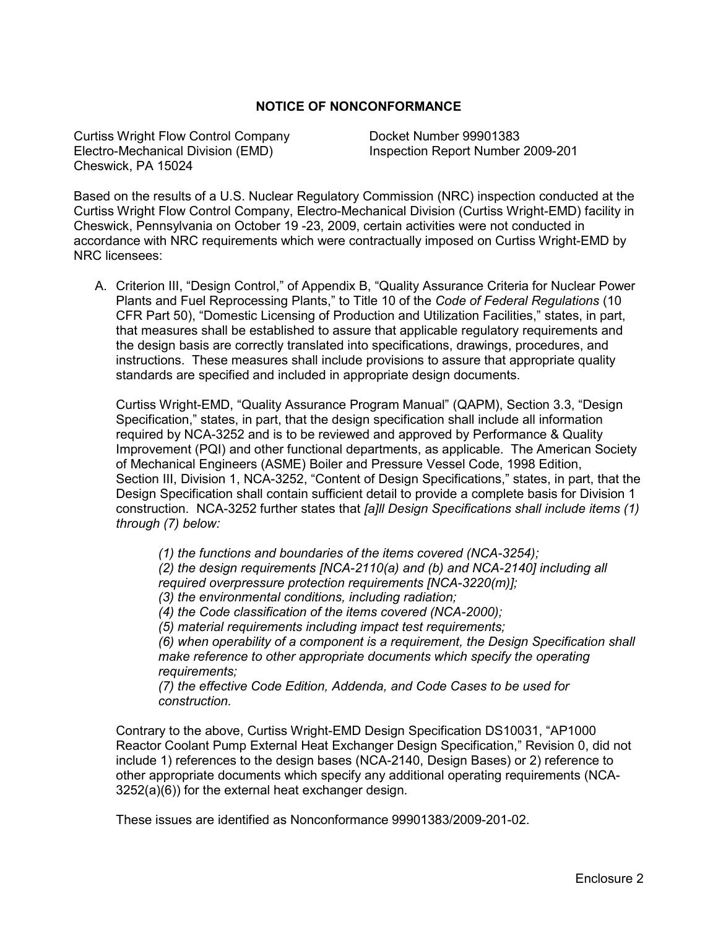#### **NOTICE OF NONCONFORMANCE**

Curtiss Wright Flow Control Company Docket Number 99901383 Electro-Mechanical Division (EMD) Inspection Report Number 2009-201 Cheswick, PA 15024

Based on the results of a U.S. Nuclear Regulatory Commission (NRC) inspection conducted at the Curtiss Wright Flow Control Company, Electro-Mechanical Division (Curtiss Wright-EMD) facility in Cheswick, Pennsylvania on October 19 -23, 2009, certain activities were not conducted in accordance with NRC requirements which were contractually imposed on Curtiss Wright-EMD by NRC licensees:

A. Criterion III, "Design Control," of Appendix B, "Quality Assurance Criteria for Nuclear Power Plants and Fuel Reprocessing Plants," to Title 10 of the *Code of Federal Regulations* (10 CFR Part 50), "Domestic Licensing of Production and Utilization Facilities," states, in part, that measures shall be established to assure that applicable regulatory requirements and the design basis are correctly translated into specifications, drawings, procedures, and instructions. These measures shall include provisions to assure that appropriate quality standards are specified and included in appropriate design documents.

Curtiss Wright-EMD, "Quality Assurance Program Manual" (QAPM), Section 3.3, "Design Specification," states, in part, that the design specification shall include all information required by NCA-3252 and is to be reviewed and approved by Performance & Quality Improvement (PQI) and other functional departments, as applicable. The American Society of Mechanical Engineers (ASME) Boiler and Pressure Vessel Code, 1998 Edition, Section III, Division 1, NCA-3252, "Content of Design Specifications," states, in part, that the Design Specification shall contain sufficient detail to provide a complete basis for Division 1 construction. NCA-3252 further states that *[a]ll Design Specifications shall include items (1) through (7) below:* 

*(1) the functions and boundaries of the items covered (NCA-3254); (2) the design requirements [NCA-2110(a) and (b) and NCA-2140] including all required overpressure protection requirements [NCA-3220(m)]; (3) the environmental conditions, including radiation; (4) the Code classification of the items covered (NCA-2000); (5) material requirements including impact test requirements; (6) when operability of a component is a requirement, the Design Specification shall make reference to other appropriate documents which specify the operating requirements; (7) the effective Code Edition, Addenda, and Code Cases to be used for construction.* 

Contrary to the above, Curtiss Wright-EMD Design Specification DS10031, "AP1000 Reactor Coolant Pump External Heat Exchanger Design Specification," Revision 0, did not include 1) references to the design bases (NCA-2140, Design Bases) or 2) reference to other appropriate documents which specify any additional operating requirements (NCA-3252(a)(6)) for the external heat exchanger design.

These issues are identified as Nonconformance 99901383/2009-201-02.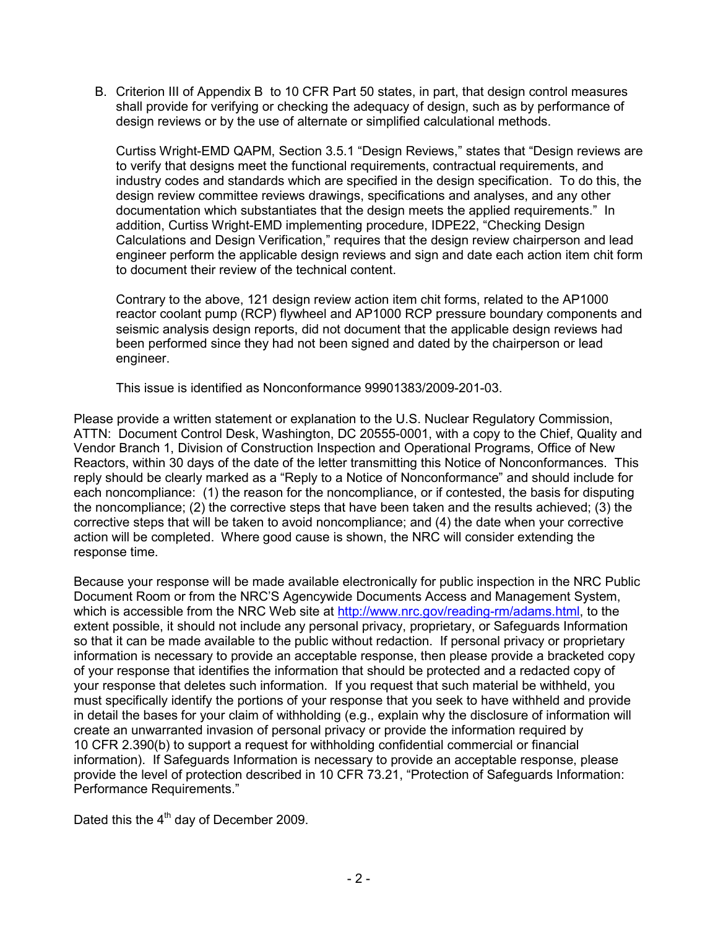B. Criterion III of Appendix B to 10 CFR Part 50 states, in part, that design control measures shall provide for verifying or checking the adequacy of design, such as by performance of design reviews or by the use of alternate or simplified calculational methods.

Curtiss Wright-EMD QAPM, Section 3.5.1 "Design Reviews," states that "Design reviews are to verify that designs meet the functional requirements, contractual requirements, and industry codes and standards which are specified in the design specification. To do this, the design review committee reviews drawings, specifications and analyses, and any other documentation which substantiates that the design meets the applied requirements." In addition, Curtiss Wright-EMD implementing procedure, IDPE22, "Checking Design Calculations and Design Verification," requires that the design review chairperson and lead engineer perform the applicable design reviews and sign and date each action item chit form to document their review of the technical content.

Contrary to the above, 121 design review action item chit forms, related to the AP1000 reactor coolant pump (RCP) flywheel and AP1000 RCP pressure boundary components and seismic analysis design reports, did not document that the applicable design reviews had been performed since they had not been signed and dated by the chairperson or lead engineer.

This issue is identified as Nonconformance 99901383/2009-201-03.

Please provide a written statement or explanation to the U.S. Nuclear Regulatory Commission, ATTN: Document Control Desk, Washington, DC 20555-0001, with a copy to the Chief, Quality and Vendor Branch 1, Division of Construction Inspection and Operational Programs, Office of New Reactors, within 30 days of the date of the letter transmitting this Notice of Nonconformances. This reply should be clearly marked as a "Reply to a Notice of Nonconformance" and should include for each noncompliance: (1) the reason for the noncompliance, or if contested, the basis for disputing the noncompliance; (2) the corrective steps that have been taken and the results achieved; (3) the corrective steps that will be taken to avoid noncompliance; and (4) the date when your corrective action will be completed. Where good cause is shown, the NRC will consider extending the response time.

Because your response will be made available electronically for public inspection in the NRC Public Document Room or from the NRC'S Agencywide Documents Access and Management System, which is accessible from the NRC Web site at http://www.nrc.gov/reading-rm/adams.html, to the extent possible, it should not include any personal privacy, proprietary, or Safeguards Information so that it can be made available to the public without redaction. If personal privacy or proprietary information is necessary to provide an acceptable response, then please provide a bracketed copy of your response that identifies the information that should be protected and a redacted copy of your response that deletes such information. If you request that such material be withheld, you must specifically identify the portions of your response that you seek to have withheld and provide in detail the bases for your claim of withholding (e.g., explain why the disclosure of information will create an unwarranted invasion of personal privacy or provide the information required by 10 CFR 2.390(b) to support a request for withholding confidential commercial or financial information). If Safeguards Information is necessary to provide an acceptable response, please provide the level of protection described in 10 CFR 73.21, "Protection of Safeguards Information: Performance Requirements."

Dated this the  $4<sup>th</sup>$  day of December 2009.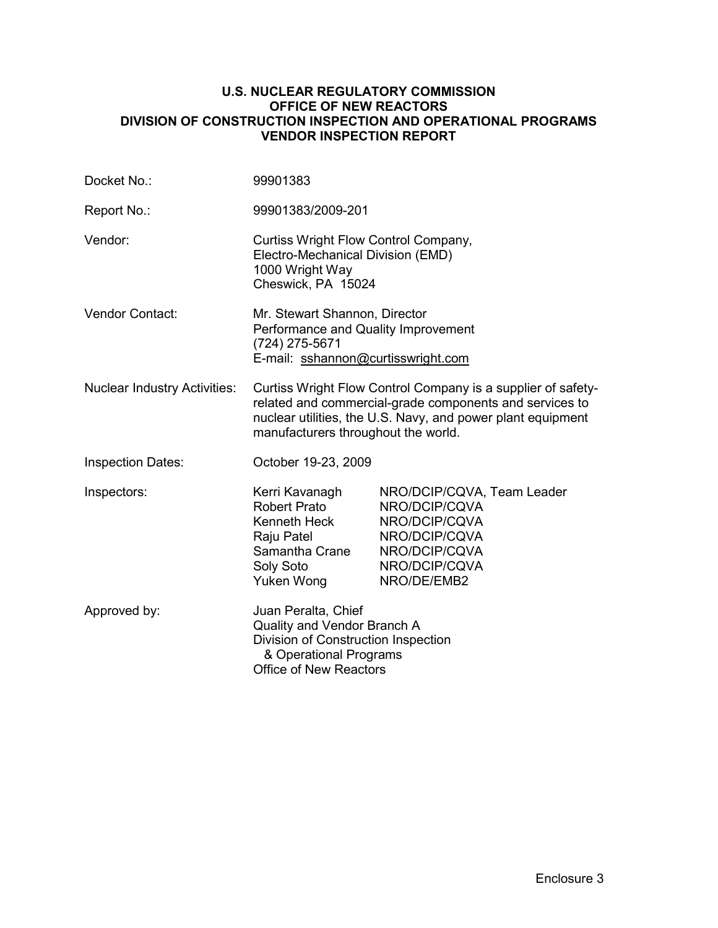#### **U.S. NUCLEAR REGULATORY COMMISSION OFFICE OF NEW REACTORS DIVISION OF CONSTRUCTION INSPECTION AND OPERATIONAL PROGRAMS VENDOR INSPECTION REPORT**

| Docket No.:                         | 99901383                                                                                                                                                                                                                      |                                                                                                                                |  |
|-------------------------------------|-------------------------------------------------------------------------------------------------------------------------------------------------------------------------------------------------------------------------------|--------------------------------------------------------------------------------------------------------------------------------|--|
| Report No.:                         | 99901383/2009-201                                                                                                                                                                                                             |                                                                                                                                |  |
| Vendor:                             | Curtiss Wright Flow Control Company,<br>Electro-Mechanical Division (EMD)<br>1000 Wright Way<br>Cheswick, PA 15024                                                                                                            |                                                                                                                                |  |
| Vendor Contact:                     | Mr. Stewart Shannon, Director<br>Performance and Quality Improvement<br>(724) 275-5671<br>E-mail: sshannon@curtisswright.com                                                                                                  |                                                                                                                                |  |
| <b>Nuclear Industry Activities:</b> | Curtiss Wright Flow Control Company is a supplier of safety-<br>related and commercial-grade components and services to<br>nuclear utilities, the U.S. Navy, and power plant equipment<br>manufacturers throughout the world. |                                                                                                                                |  |
| <b>Inspection Dates:</b>            | October 19-23, 2009                                                                                                                                                                                                           |                                                                                                                                |  |
| Inspectors:                         | Kerri Kavanagh<br>Robert Prato<br>Kenneth Heck<br>Raju Patel<br>Samantha Crane<br>Soly Soto<br>Yuken Wong                                                                                                                     | NRO/DCIP/CQVA, Team Leader<br>NRO/DCIP/CQVA<br>NRO/DCIP/CQVA<br>NRO/DCIP/CQVA<br>NRO/DCIP/CQVA<br>NRO/DCIP/CQVA<br>NRO/DE/EMB2 |  |
| Approved by:                        | Juan Peralta, Chief<br>Quality and Vendor Branch A<br>Division of Construction Inspection<br>& Operational Programs<br>Office of New Reactors                                                                                 |                                                                                                                                |  |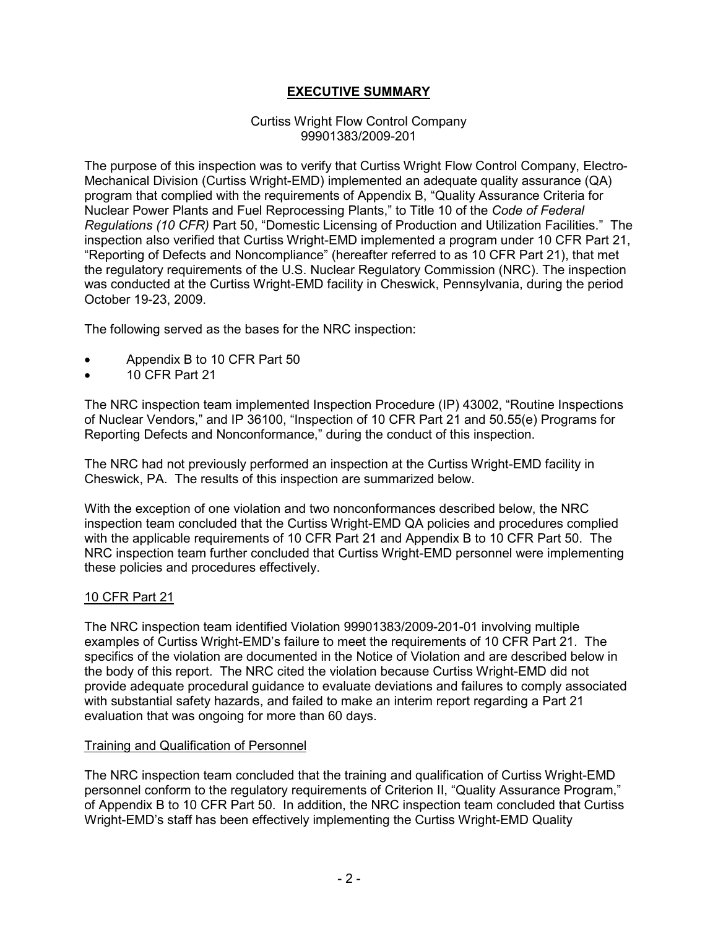## **EXECUTIVE SUMMARY**

#### Curtiss Wright Flow Control Company 99901383/2009-201

The purpose of this inspection was to verify that Curtiss Wright Flow Control Company, Electro-Mechanical Division (Curtiss Wright-EMD) implemented an adequate quality assurance (QA) program that complied with the requirements of Appendix B, "Quality Assurance Criteria for Nuclear Power Plants and Fuel Reprocessing Plants," to Title 10 of the *Code of Federal Regulations (10 CFR)* Part 50, "Domestic Licensing of Production and Utilization Facilities." The inspection also verified that Curtiss Wright-EMD implemented a program under 10 CFR Part 21, "Reporting of Defects and Noncompliance" (hereafter referred to as 10 CFR Part 21), that met the regulatory requirements of the U.S. Nuclear Regulatory Commission (NRC). The inspection was conducted at the Curtiss Wright-EMD facility in Cheswick, Pennsylvania, during the period October 19-23, 2009.

The following served as the bases for the NRC inspection:

- Appendix B to 10 CFR Part 50
- 10 CFR Part 21

The NRC inspection team implemented Inspection Procedure (IP) 43002, "Routine Inspections of Nuclear Vendors," and IP 36100, "Inspection of 10 CFR Part 21 and 50.55(e) Programs for Reporting Defects and Nonconformance," during the conduct of this inspection.

The NRC had not previously performed an inspection at the Curtiss Wright-EMD facility in Cheswick, PA. The results of this inspection are summarized below.

With the exception of one violation and two nonconformances described below, the NRC inspection team concluded that the Curtiss Wright-EMD QA policies and procedures complied with the applicable requirements of 10 CFR Part 21 and Appendix B to 10 CFR Part 50. The NRC inspection team further concluded that Curtiss Wright-EMD personnel were implementing these policies and procedures effectively.

#### 10 CFR Part 21

The NRC inspection team identified Violation 99901383/2009-201-01 involving multiple examples of Curtiss Wright-EMD's failure to meet the requirements of 10 CFR Part 21. The specifics of the violation are documented in the Notice of Violation and are described below in the body of this report. The NRC cited the violation because Curtiss Wright-EMD did not provide adequate procedural guidance to evaluate deviations and failures to comply associated with substantial safety hazards, and failed to make an interim report regarding a Part 21 evaluation that was ongoing for more than 60 days.

#### Training and Qualification of Personnel

The NRC inspection team concluded that the training and qualification of Curtiss Wright-EMD personnel conform to the regulatory requirements of Criterion II, "Quality Assurance Program," of Appendix B to 10 CFR Part 50. In addition, the NRC inspection team concluded that Curtiss Wright-EMD's staff has been effectively implementing the Curtiss Wright-EMD Quality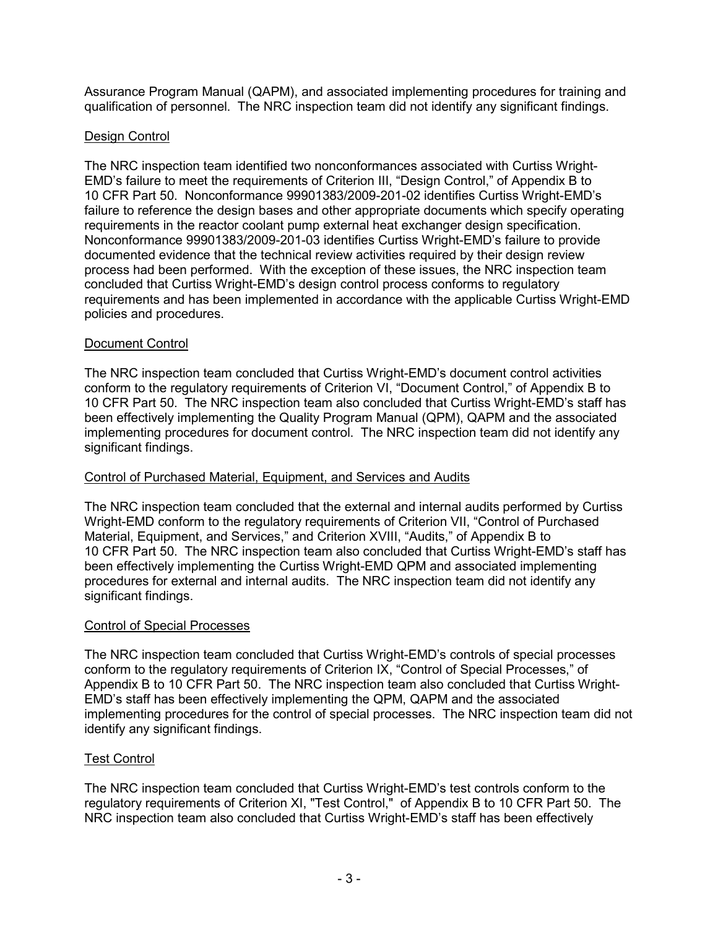Assurance Program Manual (QAPM), and associated implementing procedures for training and qualification of personnel. The NRC inspection team did not identify any significant findings.

### Design Control

The NRC inspection team identified two nonconformances associated with Curtiss Wright-EMD's failure to meet the requirements of Criterion III, "Design Control," of Appendix B to 10 CFR Part 50. Nonconformance 99901383/2009-201-02 identifies Curtiss Wright-EMD's failure to reference the design bases and other appropriate documents which specify operating requirements in the reactor coolant pump external heat exchanger design specification. Nonconformance 99901383/2009-201-03 identifies Curtiss Wright-EMD's failure to provide documented evidence that the technical review activities required by their design review process had been performed. With the exception of these issues, the NRC inspection team concluded that Curtiss Wright-EMD's design control process conforms to regulatory requirements and has been implemented in accordance with the applicable Curtiss Wright-EMD policies and procedures.

### Document Control

The NRC inspection team concluded that Curtiss Wright-EMD's document control activities conform to the regulatory requirements of Criterion VI, "Document Control," of Appendix B to 10 CFR Part 50. The NRC inspection team also concluded that Curtiss Wright-EMD's staff has been effectively implementing the Quality Program Manual (QPM), QAPM and the associated implementing procedures for document control. The NRC inspection team did not identify any significant findings.

#### Control of Purchased Material, Equipment, and Services and Audits

The NRC inspection team concluded that the external and internal audits performed by Curtiss Wright-EMD conform to the regulatory requirements of Criterion VII, "Control of Purchased Material, Equipment, and Services," and Criterion XVIII, "Audits," of Appendix B to 10 CFR Part 50. The NRC inspection team also concluded that Curtiss Wright-EMD's staff has been effectively implementing the Curtiss Wright-EMD QPM and associated implementing procedures for external and internal audits. The NRC inspection team did not identify any significant findings.

#### Control of Special Processes

The NRC inspection team concluded that Curtiss Wright-EMD's controls of special processes conform to the regulatory requirements of Criterion IX, "Control of Special Processes," of Appendix B to 10 CFR Part 50. The NRC inspection team also concluded that Curtiss Wright-EMD's staff has been effectively implementing the QPM, QAPM and the associated implementing procedures for the control of special processes. The NRC inspection team did not identify any significant findings.

## Test Control

The NRC inspection team concluded that Curtiss Wright-EMD's test controls conform to the regulatory requirements of Criterion XI, "Test Control," of Appendix B to 10 CFR Part 50. The NRC inspection team also concluded that Curtiss Wright-EMD's staff has been effectively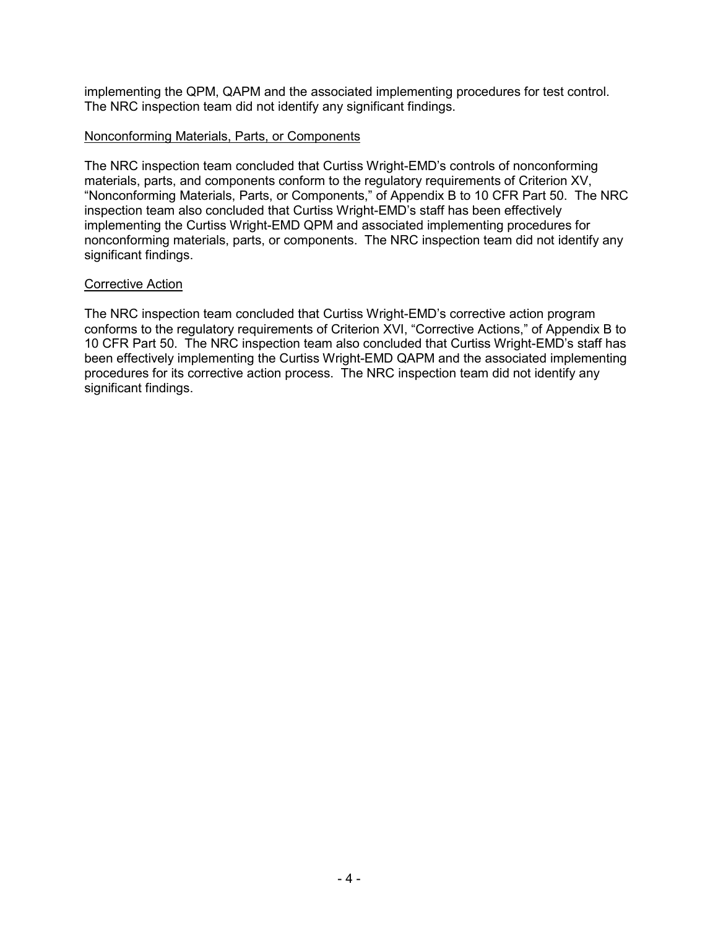implementing the QPM, QAPM and the associated implementing procedures for test control. The NRC inspection team did not identify any significant findings.

#### Nonconforming Materials, Parts, or Components

The NRC inspection team concluded that Curtiss Wright-EMD's controls of nonconforming materials, parts, and components conform to the regulatory requirements of Criterion XV, "Nonconforming Materials, Parts, or Components," of Appendix B to 10 CFR Part 50. The NRC inspection team also concluded that Curtiss Wright-EMD's staff has been effectively implementing the Curtiss Wright-EMD QPM and associated implementing procedures for nonconforming materials, parts, or components. The NRC inspection team did not identify any significant findings.

#### Corrective Action

The NRC inspection team concluded that Curtiss Wright-EMD's corrective action program conforms to the regulatory requirements of Criterion XVI, "Corrective Actions," of Appendix B to 10 CFR Part 50. The NRC inspection team also concluded that Curtiss Wright-EMD's staff has been effectively implementing the Curtiss Wright-EMD QAPM and the associated implementing procedures for its corrective action process. The NRC inspection team did not identify any significant findings.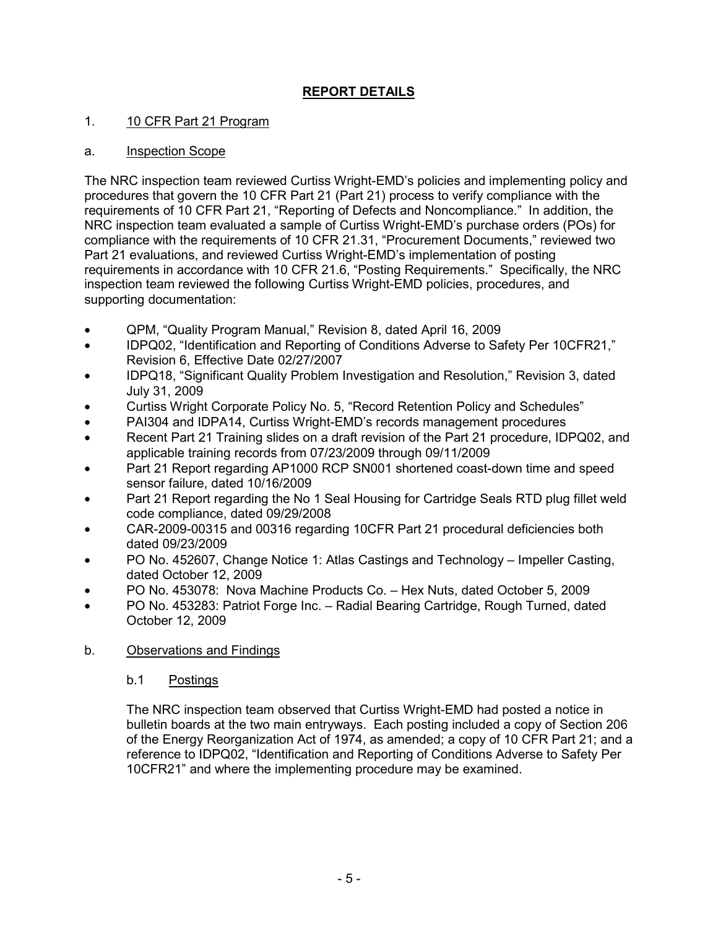# **REPORT DETAILS**

### 1. 10 CFR Part 21 Program

#### a. Inspection Scope

The NRC inspection team reviewed Curtiss Wright-EMD's policies and implementing policy and procedures that govern the 10 CFR Part 21 (Part 21) process to verify compliance with the requirements of 10 CFR Part 21, "Reporting of Defects and Noncompliance." In addition, the NRC inspection team evaluated a sample of Curtiss Wright-EMD's purchase orders (POs) for compliance with the requirements of 10 CFR 21.31, "Procurement Documents," reviewed two Part 21 evaluations, and reviewed Curtiss Wright-EMD's implementation of posting requirements in accordance with 10 CFR 21.6, "Posting Requirements." Specifically, the NRC inspection team reviewed the following Curtiss Wright-EMD policies, procedures, and supporting documentation:

- QPM, "Quality Program Manual," Revision 8, dated April 16, 2009
- IDPQ02, "Identification and Reporting of Conditions Adverse to Safety Per 10CFR21," Revision 6, Effective Date 02/27/2007
- IDPQ18, "Significant Quality Problem Investigation and Resolution," Revision 3, dated July 31, 2009
- Curtiss Wright Corporate Policy No. 5, "Record Retention Policy and Schedules"
- PAI304 and IDPA14, Curtiss Wright-EMD's records management procedures
- Recent Part 21 Training slides on a draft revision of the Part 21 procedure, IDPQ02, and applicable training records from 07/23/2009 through 09/11/2009
- Part 21 Report regarding AP1000 RCP SN001 shortened coast-down time and speed sensor failure, dated 10/16/2009
- Part 21 Report regarding the No 1 Seal Housing for Cartridge Seals RTD plug fillet weld code compliance, dated 09/29/2008
- CAR-2009-00315 and 00316 regarding 10CFR Part 21 procedural deficiencies both dated 09/23/2009
- PO No. 452607, Change Notice 1: Atlas Castings and Technology Impeller Casting, dated October 12, 2009
- PO No. 453078: Nova Machine Products Co. Hex Nuts, dated October 5, 2009
- PO No. 453283: Patriot Forge Inc. Radial Bearing Cartridge, Rough Turned, dated October 12, 2009

#### b. Observations and Findings

#### b.1 Postings

The NRC inspection team observed that Curtiss Wright-EMD had posted a notice in bulletin boards at the two main entryways. Each posting included a copy of Section 206 of the Energy Reorganization Act of 1974, as amended; a copy of 10 CFR Part 21; and a reference to IDPQ02, "Identification and Reporting of Conditions Adverse to Safety Per 10CFR21" and where the implementing procedure may be examined.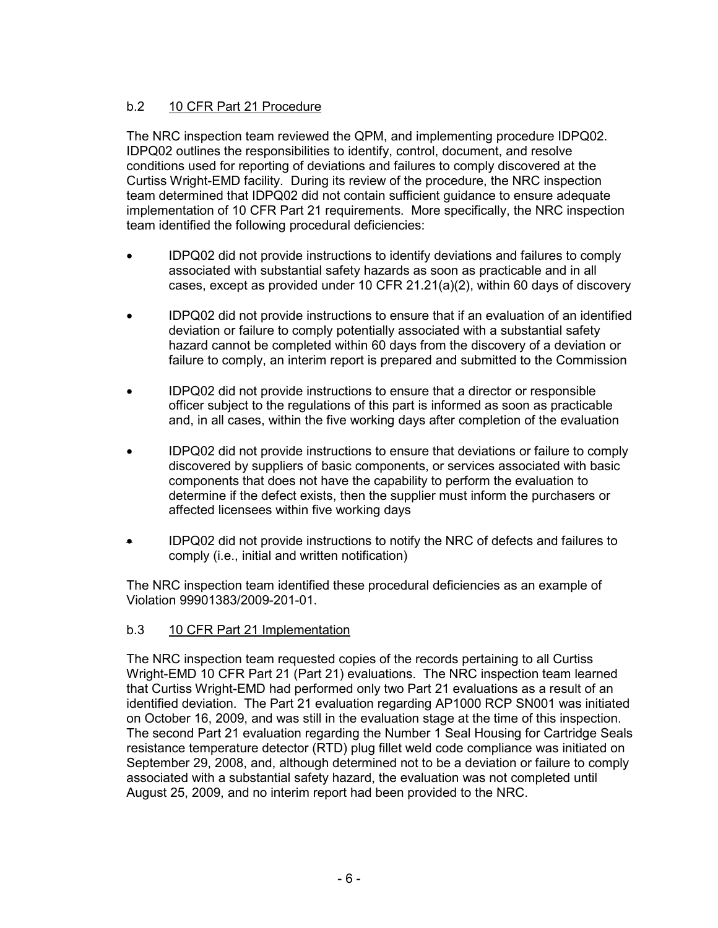## b.2 10 CFR Part 21 Procedure

The NRC inspection team reviewed the QPM, and implementing procedure IDPQ02. IDPQ02 outlines the responsibilities to identify, control, document, and resolve conditions used for reporting of deviations and failures to comply discovered at the Curtiss Wright-EMD facility. During its review of the procedure, the NRC inspection team determined that IDPQ02 did not contain sufficient guidance to ensure adequate implementation of 10 CFR Part 21 requirements. More specifically, the NRC inspection team identified the following procedural deficiencies:

- IDPQ02 did not provide instructions to identify deviations and failures to comply associated with substantial safety hazards as soon as practicable and in all cases, except as provided under 10 CFR  $21.21(a)(2)$ , within 60 days of discovery
- IDPQ02 did not provide instructions to ensure that if an evaluation of an identified deviation or failure to comply potentially associated with a substantial safety hazard cannot be completed within 60 days from the discovery of a deviation or failure to comply, an interim report is prepared and submitted to the Commission
- IDPQ02 did not provide instructions to ensure that a director or responsible officer subject to the regulations of this part is informed as soon as practicable and, in all cases, within the five working days after completion of the evaluation
- IDPQ02 did not provide instructions to ensure that deviations or failure to comply discovered by suppliers of basic components, or services associated with basic components that does not have the capability to perform the evaluation to determine if the defect exists, then the supplier must inform the purchasers or affected licensees within five working days
- IDPQ02 did not provide instructions to notify the NRC of defects and failures to comply (i.e., initial and written notification)

The NRC inspection team identified these procedural deficiencies as an example of Violation 99901383/2009-201-01.

## b.3 10 CFR Part 21 Implementation

The NRC inspection team requested copies of the records pertaining to all Curtiss Wright-EMD 10 CFR Part 21 (Part 21) evaluations. The NRC inspection team learned that Curtiss Wright-EMD had performed only two Part 21 evaluations as a result of an identified deviation. The Part 21 evaluation regarding AP1000 RCP SN001 was initiated on October 16, 2009, and was still in the evaluation stage at the time of this inspection. The second Part 21 evaluation regarding the Number 1 Seal Housing for Cartridge Seals resistance temperature detector (RTD) plug fillet weld code compliance was initiated on September 29, 2008, and, although determined not to be a deviation or failure to comply associated with a substantial safety hazard, the evaluation was not completed until August 25, 2009, and no interim report had been provided to the NRC.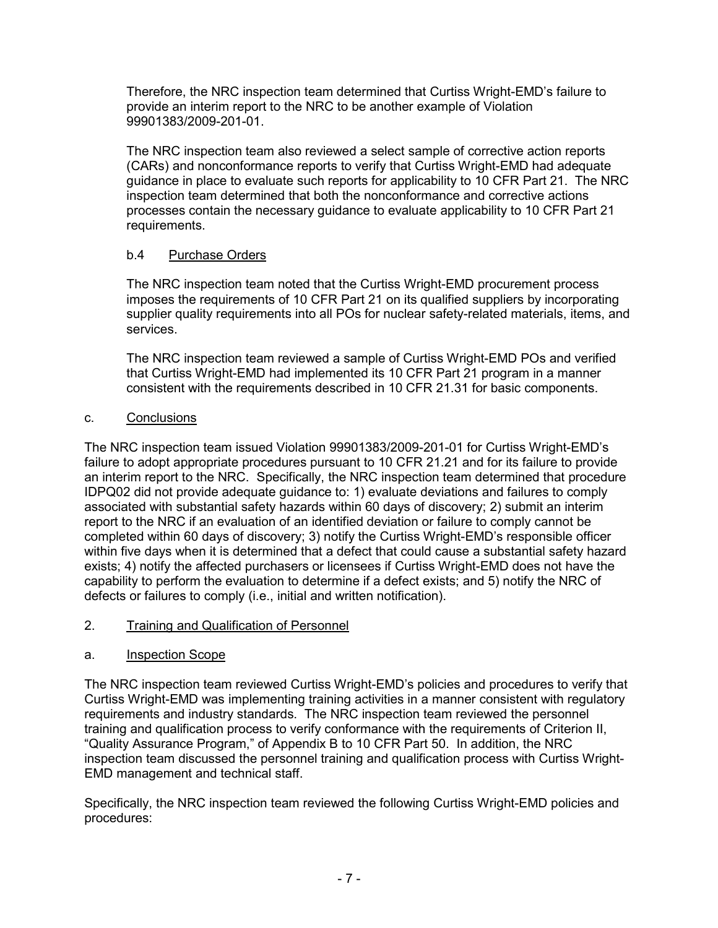Therefore, the NRC inspection team determined that Curtiss Wright-EMD's failure to provide an interim report to the NRC to be another example of Violation 99901383/2009-201-01.

The NRC inspection team also reviewed a select sample of corrective action reports (CARs) and nonconformance reports to verify that Curtiss Wright-EMD had adequate guidance in place to evaluate such reports for applicability to 10 CFR Part 21. The NRC inspection team determined that both the nonconformance and corrective actions processes contain the necessary guidance to evaluate applicability to 10 CFR Part 21 requirements.

## b.4 Purchase Orders

The NRC inspection team noted that the Curtiss Wright-EMD procurement process imposes the requirements of 10 CFR Part 21 on its qualified suppliers by incorporating supplier quality requirements into all POs for nuclear safety-related materials, items, and services.

The NRC inspection team reviewed a sample of Curtiss Wright-EMD POs and verified that Curtiss Wright-EMD had implemented its 10 CFR Part 21 program in a manner consistent with the requirements described in 10 CFR 21.31 for basic components.

## c. Conclusions

The NRC inspection team issued Violation 99901383/2009-201-01 for Curtiss Wright-EMD's failure to adopt appropriate procedures pursuant to 10 CFR 21.21 and for its failure to provide an interim report to the NRC. Specifically, the NRC inspection team determined that procedure IDPQ02 did not provide adequate guidance to: 1) evaluate deviations and failures to comply associated with substantial safety hazards within 60 days of discovery; 2) submit an interim report to the NRC if an evaluation of an identified deviation or failure to comply cannot be completed within 60 days of discovery; 3) notify the Curtiss Wright-EMD's responsible officer within five days when it is determined that a defect that could cause a substantial safety hazard exists; 4) notify the affected purchasers or licensees if Curtiss Wright-EMD does not have the capability to perform the evaluation to determine if a defect exists; and 5) notify the NRC of defects or failures to comply (i.e., initial and written notification).

## 2. Training and Qualification of Personnel

## a. Inspection Scope

The NRC inspection team reviewed Curtiss Wright-EMD's policies and procedures to verify that Curtiss Wright-EMD was implementing training activities in a manner consistent with regulatory requirements and industry standards. The NRC inspection team reviewed the personnel training and qualification process to verify conformance with the requirements of Criterion II, "Quality Assurance Program," of Appendix B to 10 CFR Part 50. In addition, the NRC inspection team discussed the personnel training and qualification process with Curtiss Wright-EMD management and technical staff.

Specifically, the NRC inspection team reviewed the following Curtiss Wright-EMD policies and procedures: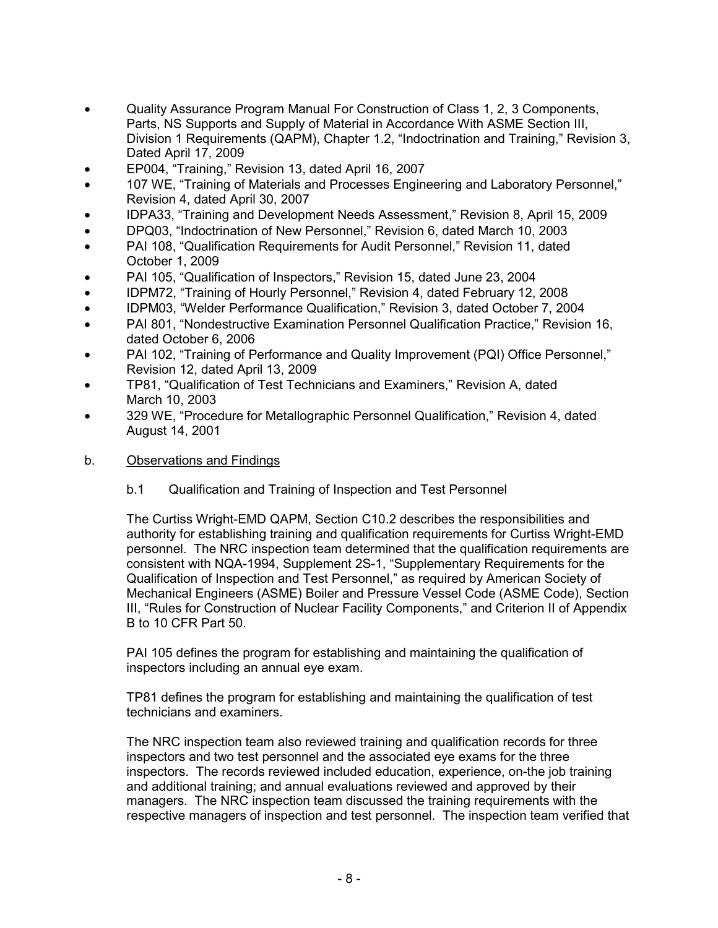- Quality Assurance Program Manual For Construction of Class 1, 2, 3 Components, Parts, NS Supports and Supply of Material in Accordance With ASME Section III, Division 1 Requirements (QAPM), Chapter 1.2, "Indoctrination and Training," Revision 3, Dated April 17, 2009
- EP004, "Training," Revision 13, dated April 16, 2007
- 107 WE, "Training of Materials and Processes Engineering and Laboratory Personnel," Revision 4, dated April 30, 2007
- IDPA33, "Training and Development Needs Assessment," Revision 8, April 15, 2009
- DPQ03, "Indoctrination of New Personnel," Revision 6, dated March 10, 2003
- PAI 108, "Qualification Requirements for Audit Personnel," Revision 11, dated October 1, 2009
- PAI 105, "Qualification of Inspectors," Revision 15, dated June 23, 2004
- IDPM72, "Training of Hourly Personnel," Revision 4, dated February 12, 2008
- IDPM03, "Welder Performance Qualification," Revision 3, dated October 7, 2004
- PAI 801, "Nondestructive Examination Personnel Qualification Practice," Revision 16, dated October 6, 2006
- PAI 102, "Training of Performance and Quality Improvement (PQI) Office Personnel," Revision 12, dated April 13, 2009
- TP81, "Qualification of Test Technicians and Examiners," Revision A, dated March 10, 2003
- 329 WE, "Procedure for Metallographic Personnel Qualification," Revision 4, dated August 14, 2001

#### b. Observations and Findings

b.1 Qualification and Training of Inspection and Test Personnel

The Curtiss Wright-EMD QAPM, Section C10.2 describes the responsibilities and authority for establishing training and qualification requirements for Curtiss Wright-EMD personnel. The NRC inspection team determined that the qualification requirements are consistent with NQA-1994, Supplement 2S-1, "Supplementary Requirements for the Qualification of Inspection and Test Personnel," as required by American Society of Mechanical Engineers (ASME) Boiler and Pressure Vessel Code (ASME Code), Section III, "Rules for Construction of Nuclear Facility Components," and Criterion II of Appendix B to 10 CFR Part 50.

PAI 105 defines the program for establishing and maintaining the qualification of inspectors including an annual eye exam.

TP81 defines the program for establishing and maintaining the qualification of test technicians and examiners.

The NRC inspection team also reviewed training and qualification records for three inspectors and two test personnel and the associated eye exams for the three inspectors. The records reviewed included education, experience, on-the job training and additional training; and annual evaluations reviewed and approved by their managers. The NRC inspection team discussed the training requirements with the respective managers of inspection and test personnel. The inspection team verified that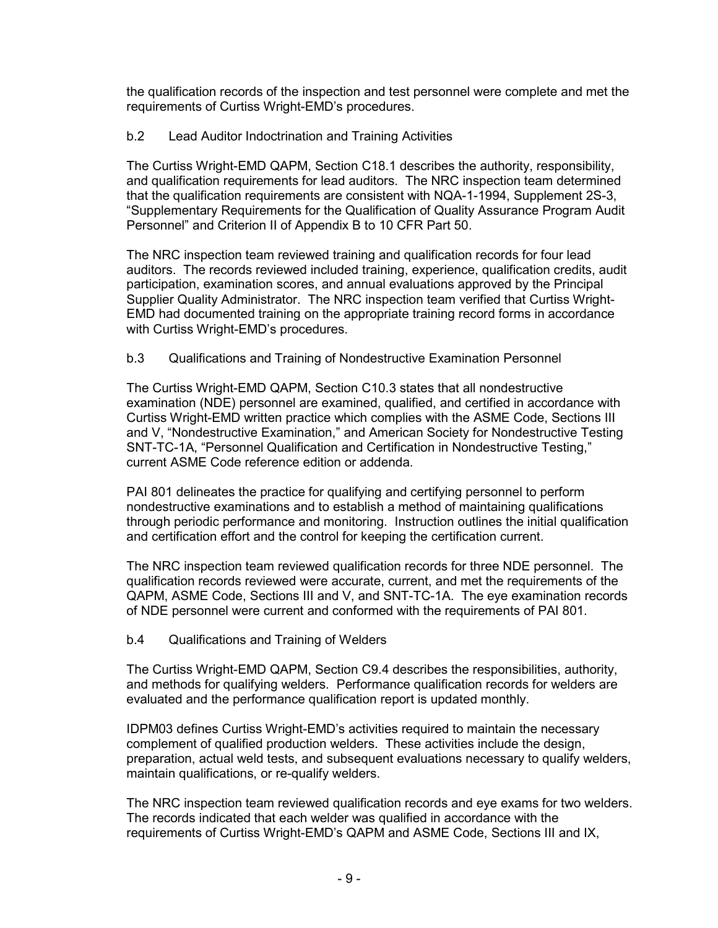the qualification records of the inspection and test personnel were complete and met the requirements of Curtiss Wright-EMD's procedures.

#### b.2 Lead Auditor Indoctrination and Training Activities

The Curtiss Wright-EMD QAPM, Section C18.1 describes the authority, responsibility, and qualification requirements for lead auditors. The NRC inspection team determined that the qualification requirements are consistent with NQA-1-1994, Supplement 2S-3, "Supplementary Requirements for the Qualification of Quality Assurance Program Audit Personnel" and Criterion II of Appendix B to 10 CFR Part 50.

The NRC inspection team reviewed training and qualification records for four lead auditors. The records reviewed included training, experience, qualification credits, audit participation, examination scores, and annual evaluations approved by the Principal Supplier Quality Administrator. The NRC inspection team verified that Curtiss Wright-EMD had documented training on the appropriate training record forms in accordance with Curtiss Wright-EMD's procedures.

### b.3 Qualifications and Training of Nondestructive Examination Personnel

The Curtiss Wright-EMD QAPM, Section C10.3 states that all nondestructive examination (NDE) personnel are examined, qualified, and certified in accordance with Curtiss Wright-EMD written practice which complies with the ASME Code, Sections III and V, "Nondestructive Examination," and American Society for Nondestructive Testing SNT-TC-1A, "Personnel Qualification and Certification in Nondestructive Testing," current ASME Code reference edition or addenda.

PAI 801 delineates the practice for qualifying and certifying personnel to perform nondestructive examinations and to establish a method of maintaining qualifications through periodic performance and monitoring. Instruction outlines the initial qualification and certification effort and the control for keeping the certification current.

The NRC inspection team reviewed qualification records for three NDE personnel. The qualification records reviewed were accurate, current, and met the requirements of the QAPM, ASME Code, Sections III and V, and SNT-TC-1A. The eye examination records of NDE personnel were current and conformed with the requirements of PAI 801.

#### b.4 Qualifications and Training of Welders

The Curtiss Wright-EMD QAPM, Section C9.4 describes the responsibilities, authority, and methods for qualifying welders. Performance qualification records for welders are evaluated and the performance qualification report is updated monthly.

IDPM03 defines Curtiss Wright-EMD's activities required to maintain the necessary complement of qualified production welders. These activities include the design, preparation, actual weld tests, and subsequent evaluations necessary to qualify welders, maintain qualifications, or re-qualify welders.

The NRC inspection team reviewed qualification records and eye exams for two welders. The records indicated that each welder was qualified in accordance with the requirements of Curtiss Wright-EMD's QAPM and ASME Code, Sections III and IX,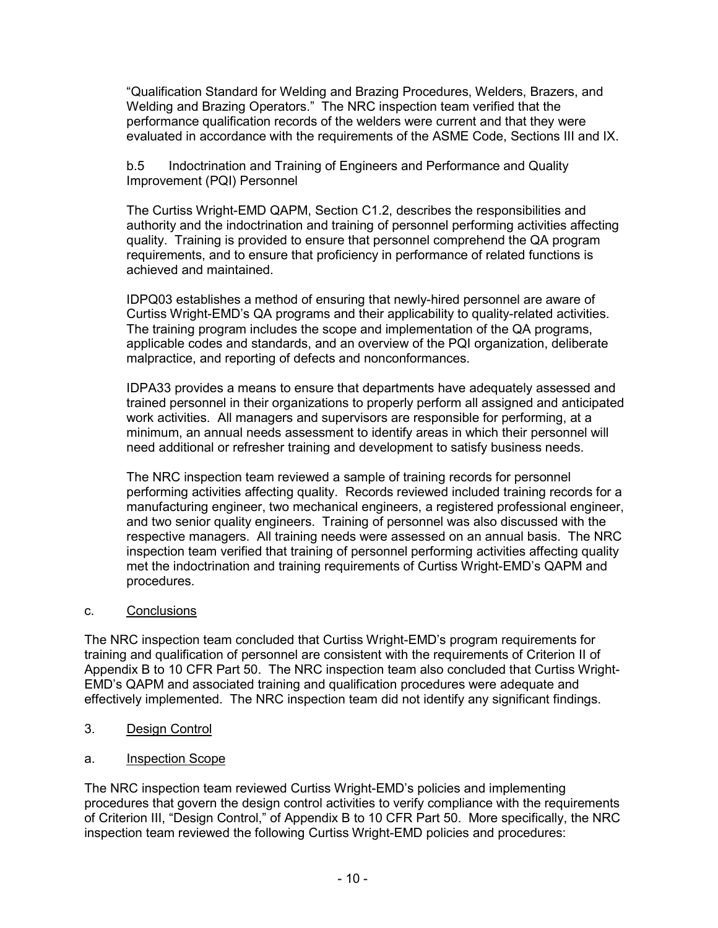"Qualification Standard for Welding and Brazing Procedures, Welders, Brazers, and Welding and Brazing Operators." The NRC inspection team verified that the performance qualification records of the welders were current and that they were evaluated in accordance with the requirements of the ASME Code, Sections III and IX.

b.5 Indoctrination and Training of Engineers and Performance and Quality Improvement (PQI) Personnel

The Curtiss Wright-EMD QAPM, Section C1.2, describes the responsibilities and authority and the indoctrination and training of personnel performing activities affecting quality. Training is provided to ensure that personnel comprehend the QA program requirements, and to ensure that proficiency in performance of related functions is achieved and maintained.

IDPQ03 establishes a method of ensuring that newly-hired personnel are aware of Curtiss Wright-EMD's QA programs and their applicability to quality-related activities. The training program includes the scope and implementation of the QA programs, applicable codes and standards, and an overview of the PQI organization, deliberate malpractice, and reporting of defects and nonconformances.

IDPA33 provides a means to ensure that departments have adequately assessed and trained personnel in their organizations to properly perform all assigned and anticipated work activities. All managers and supervisors are responsible for performing, at a minimum, an annual needs assessment to identify areas in which their personnel will need additional or refresher training and development to satisfy business needs.

The NRC inspection team reviewed a sample of training records for personnel performing activities affecting quality. Records reviewed included training records for a manufacturing engineer, two mechanical engineers, a registered professional engineer, and two senior quality engineers. Training of personnel was also discussed with the respective managers. All training needs were assessed on an annual basis. The NRC inspection team verified that training of personnel performing activities affecting quality met the indoctrination and training requirements of Curtiss Wright-EMD's QAPM and procedures.

#### c. Conclusions

The NRC inspection team concluded that Curtiss Wright-EMD's program requirements for training and qualification of personnel are consistent with the requirements of Criterion II of Appendix B to 10 CFR Part 50. The NRC inspection team also concluded that Curtiss Wright-EMD's QAPM and associated training and qualification procedures were adequate and effectively implemented. The NRC inspection team did not identify any significant findings.

- 3. Design Control
- a. Inspection Scope

The NRC inspection team reviewed Curtiss Wright-EMD's policies and implementing procedures that govern the design control activities to verify compliance with the requirements of Criterion III, "Design Control," of Appendix B to 10 CFR Part 50. More specifically, the NRC inspection team reviewed the following Curtiss Wright-EMD policies and procedures: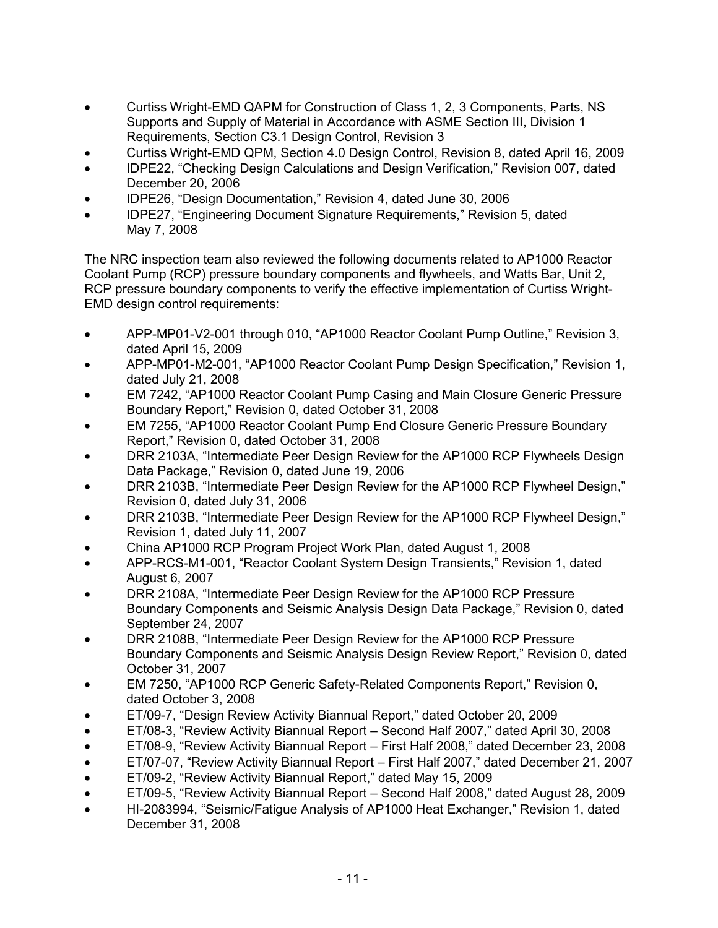- Curtiss Wright-EMD QAPM for Construction of Class 1, 2, 3 Components, Parts, NS Supports and Supply of Material in Accordance with ASME Section III, Division 1 Requirements, Section C3.1 Design Control, Revision 3
- Curtiss Wright-EMD QPM, Section 4.0 Design Control, Revision 8, dated April 16, 2009
- IDPE22, "Checking Design Calculations and Design Verification," Revision 007, dated December 20, 2006
- IDPE26, "Design Documentation," Revision 4, dated June 30, 2006
- IDPE27, "Engineering Document Signature Requirements," Revision 5, dated May 7, 2008

The NRC inspection team also reviewed the following documents related to AP1000 Reactor Coolant Pump (RCP) pressure boundary components and flywheels, and Watts Bar, Unit 2, RCP pressure boundary components to verify the effective implementation of Curtiss Wright-EMD design control requirements:

- APP-MP01-V2-001 through 010, "AP1000 Reactor Coolant Pump Outline," Revision 3, dated April 15, 2009
- APP-MP01-M2-001, "AP1000 Reactor Coolant Pump Design Specification," Revision 1, dated July 21, 2008
- EM 7242, "AP1000 Reactor Coolant Pump Casing and Main Closure Generic Pressure Boundary Report," Revision 0, dated October 31, 2008
- EM 7255, "AP1000 Reactor Coolant Pump End Closure Generic Pressure Boundary Report," Revision 0, dated October 31, 2008
- DRR 2103A, "Intermediate Peer Design Review for the AP1000 RCP Flywheels Design Data Package," Revision 0, dated June 19, 2006
- DRR 2103B, "Intermediate Peer Design Review for the AP1000 RCP Flywheel Design," Revision 0, dated July 31, 2006
- DRR 2103B, "Intermediate Peer Design Review for the AP1000 RCP Flywheel Design," Revision 1, dated July 11, 2007
- China AP1000 RCP Program Project Work Plan, dated August 1, 2008
- APP-RCS-M1-001, "Reactor Coolant System Design Transients," Revision 1, dated August 6, 2007
- DRR 2108A, "Intermediate Peer Design Review for the AP1000 RCP Pressure Boundary Components and Seismic Analysis Design Data Package," Revision 0, dated September 24, 2007
- DRR 2108B, "Intermediate Peer Design Review for the AP1000 RCP Pressure Boundary Components and Seismic Analysis Design Review Report," Revision 0, dated October 31, 2007
- EM 7250, "AP1000 RCP Generic Safety-Related Components Report," Revision 0, dated October 3, 2008
- ET/09-7, "Design Review Activity Biannual Report," dated October 20, 2009
- ET/08-3, "Review Activity Biannual Report Second Half 2007," dated April 30, 2008
- ET/08-9, "Review Activity Biannual Report First Half 2008," dated December 23, 2008
- ET/07-07, "Review Activity Biannual Report First Half 2007," dated December 21, 2007
- ET/09-2, "Review Activity Biannual Report," dated May 15, 2009
- ET/09-5, "Review Activity Biannual Report Second Half 2008," dated August 28, 2009
- HI-2083994, "Seismic/Fatigue Analysis of AP1000 Heat Exchanger," Revision 1, dated December 31, 2008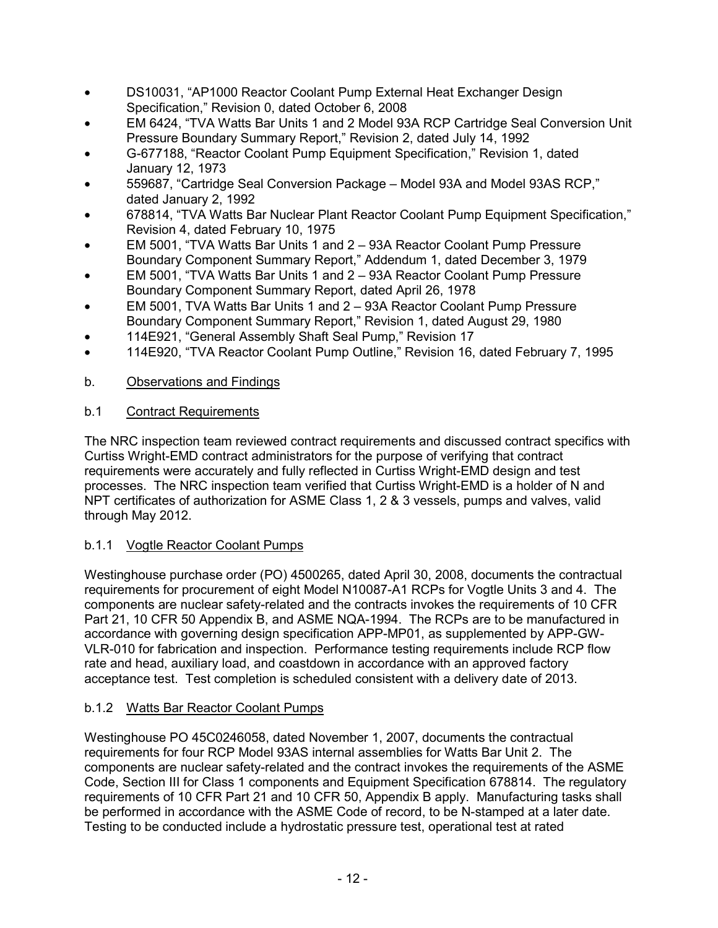- DS10031, "AP1000 Reactor Coolant Pump External Heat Exchanger Design Specification," Revision 0, dated October 6, 2008
- EM 6424, "TVA Watts Bar Units 1 and 2 Model 93A RCP Cartridge Seal Conversion Unit Pressure Boundary Summary Report," Revision 2, dated July 14, 1992
- G-677188, "Reactor Coolant Pump Equipment Specification," Revision 1, dated January 12, 1973
- 559687, "Cartridge Seal Conversion Package Model 93A and Model 93AS RCP," dated January 2, 1992
- 678814, "TVA Watts Bar Nuclear Plant Reactor Coolant Pump Equipment Specification," Revision 4, dated February 10, 1975
- EM 5001, "TVA Watts Bar Units 1 and 2 93A Reactor Coolant Pump Pressure Boundary Component Summary Report," Addendum 1, dated December 3, 1979
- EM 5001, "TVA Watts Bar Units 1 and 2 93A Reactor Coolant Pump Pressure Boundary Component Summary Report, dated April 26, 1978
- EM 5001, TVA Watts Bar Units 1 and 2 93A Reactor Coolant Pump Pressure Boundary Component Summary Report," Revision 1, dated August 29, 1980
- 114E921, "General Assembly Shaft Seal Pump," Revision 17
- 114E920, "TVA Reactor Coolant Pump Outline," Revision 16, dated February 7, 1995

## b. Observations and Findings

## b.1 Contract Requirements

The NRC inspection team reviewed contract requirements and discussed contract specifics with Curtiss Wright-EMD contract administrators for the purpose of verifying that contract requirements were accurately and fully reflected in Curtiss Wright-EMD design and test processes. The NRC inspection team verified that Curtiss Wright-EMD is a holder of N and NPT certificates of authorization for ASME Class 1, 2 & 3 vessels, pumps and valves, valid through May 2012.

## b.1.1 Vogtle Reactor Coolant Pumps

Westinghouse purchase order (PO) 4500265, dated April 30, 2008, documents the contractual requirements for procurement of eight Model N10087-A1 RCPs for Vogtle Units 3 and 4. The components are nuclear safety-related and the contracts invokes the requirements of 10 CFR Part 21, 10 CFR 50 Appendix B, and ASME NQA-1994. The RCPs are to be manufactured in accordance with governing design specification APP-MP01, as supplemented by APP-GW-VLR-010 for fabrication and inspection. Performance testing requirements include RCP flow rate and head, auxiliary load, and coastdown in accordance with an approved factory acceptance test. Test completion is scheduled consistent with a delivery date of 2013.

## b.1.2 Watts Bar Reactor Coolant Pumps

Westinghouse PO 45C0246058, dated November 1, 2007, documents the contractual requirements for four RCP Model 93AS internal assemblies for Watts Bar Unit 2. The components are nuclear safety-related and the contract invokes the requirements of the ASME Code, Section III for Class 1 components and Equipment Specification 678814. The regulatory requirements of 10 CFR Part 21 and 10 CFR 50, Appendix B apply. Manufacturing tasks shall be performed in accordance with the ASME Code of record, to be N-stamped at a later date. Testing to be conducted include a hydrostatic pressure test, operational test at rated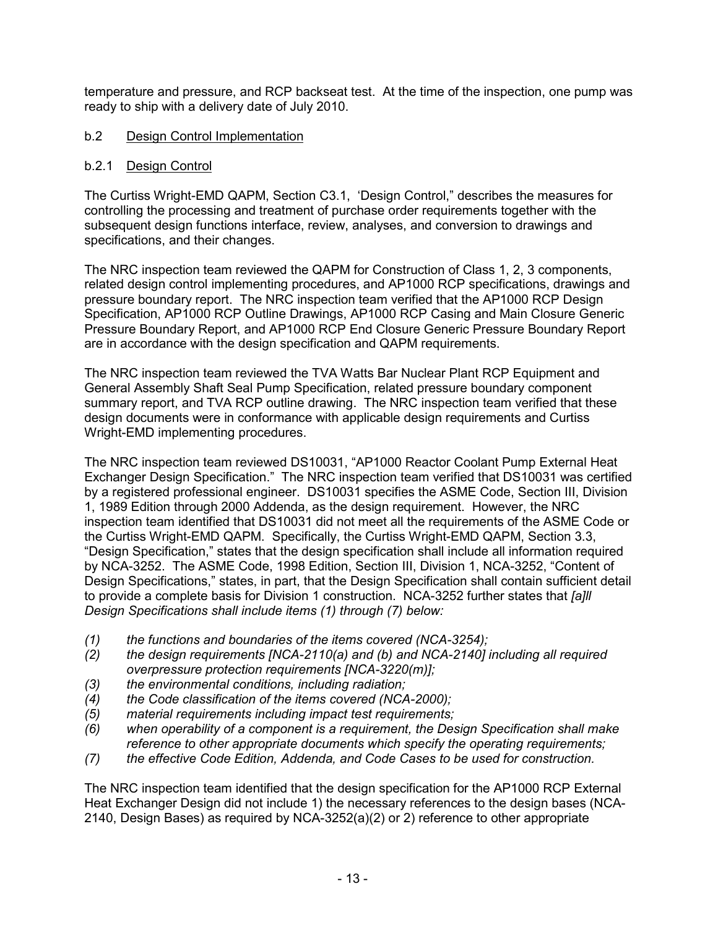temperature and pressure, and RCP backseat test. At the time of the inspection, one pump was ready to ship with a delivery date of July 2010.

### b.2 Design Control Implementation

#### b.2.1 Design Control

The Curtiss Wright-EMD QAPM, Section C3.1, 'Design Control," describes the measures for controlling the processing and treatment of purchase order requirements together with the subsequent design functions interface, review, analyses, and conversion to drawings and specifications, and their changes.

The NRC inspection team reviewed the QAPM for Construction of Class 1, 2, 3 components, related design control implementing procedures, and AP1000 RCP specifications, drawings and pressure boundary report. The NRC inspection team verified that the AP1000 RCP Design Specification, AP1000 RCP Outline Drawings, AP1000 RCP Casing and Main Closure Generic Pressure Boundary Report, and AP1000 RCP End Closure Generic Pressure Boundary Report are in accordance with the design specification and QAPM requirements.

The NRC inspection team reviewed the TVA Watts Bar Nuclear Plant RCP Equipment and General Assembly Shaft Seal Pump Specification, related pressure boundary component summary report, and TVA RCP outline drawing. The NRC inspection team verified that these design documents were in conformance with applicable design requirements and Curtiss Wright-EMD implementing procedures.

The NRC inspection team reviewed DS10031, "AP1000 Reactor Coolant Pump External Heat Exchanger Design Specification." The NRC inspection team verified that DS10031 was certified by a registered professional engineer. DS10031 specifies the ASME Code, Section III, Division 1, 1989 Edition through 2000 Addenda, as the design requirement. However, the NRC inspection team identified that DS10031 did not meet all the requirements of the ASME Code or the Curtiss Wright-EMD QAPM. Specifically, the Curtiss Wright-EMD QAPM, Section 3.3, "Design Specification," states that the design specification shall include all information required by NCA-3252. The ASME Code, 1998 Edition, Section III, Division 1, NCA-3252, "Content of Design Specifications," states, in part, that the Design Specification shall contain sufficient detail to provide a complete basis for Division 1 construction. NCA-3252 further states that *[a]ll Design Specifications shall include items (1) through (7) below:* 

- *(1) the functions and boundaries of the items covered (NCA-3254);*
- *(2) the design requirements [NCA-2110(a) and (b) and NCA-2140] including all required overpressure protection requirements [NCA-3220(m)];*
- *(3) the environmental conditions, including radiation;*
- *(4) the Code classification of the items covered (NCA-2000);*
- *(5) material requirements including impact test requirements;*
- *(6) when operability of a component is a requirement, the Design Specification shall make reference to other appropriate documents which specify the operating requirements;*
- *(7) the effective Code Edition, Addenda, and Code Cases to be used for construction.*

The NRC inspection team identified that the design specification for the AP1000 RCP External Heat Exchanger Design did not include 1) the necessary references to the design bases (NCA-2140, Design Bases) as required by NCA-3252(a)(2) or 2) reference to other appropriate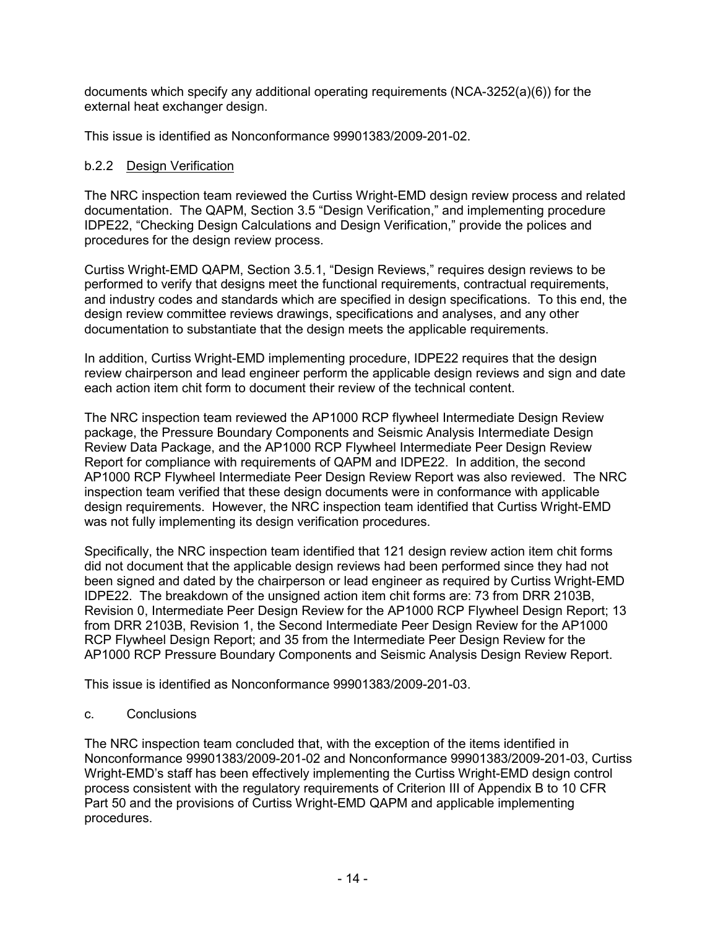documents which specify any additional operating requirements (NCA-3252(a)(6)) for the external heat exchanger design.

This issue is identified as Nonconformance 99901383/2009-201-02.

### b.2.2 Design Verification

The NRC inspection team reviewed the Curtiss Wright-EMD design review process and related documentation. The QAPM, Section 3.5 "Design Verification," and implementing procedure IDPE22, "Checking Design Calculations and Design Verification," provide the polices and procedures for the design review process.

Curtiss Wright-EMD QAPM, Section 3.5.1, "Design Reviews," requires design reviews to be performed to verify that designs meet the functional requirements, contractual requirements, and industry codes and standards which are specified in design specifications. To this end, the design review committee reviews drawings, specifications and analyses, and any other documentation to substantiate that the design meets the applicable requirements.

In addition, Curtiss Wright-EMD implementing procedure, IDPE22 requires that the design review chairperson and lead engineer perform the applicable design reviews and sign and date each action item chit form to document their review of the technical content.

The NRC inspection team reviewed the AP1000 RCP flywheel Intermediate Design Review package, the Pressure Boundary Components and Seismic Analysis Intermediate Design Review Data Package, and the AP1000 RCP Flywheel Intermediate Peer Design Review Report for compliance with requirements of QAPM and IDPE22. In addition, the second AP1000 RCP Flywheel Intermediate Peer Design Review Report was also reviewed. The NRC inspection team verified that these design documents were in conformance with applicable design requirements. However, the NRC inspection team identified that Curtiss Wright-EMD was not fully implementing its design verification procedures.

Specifically, the NRC inspection team identified that 121 design review action item chit forms did not document that the applicable design reviews had been performed since they had not been signed and dated by the chairperson or lead engineer as required by Curtiss Wright-EMD IDPE22. The breakdown of the unsigned action item chit forms are: 73 from DRR 2103B, Revision 0, Intermediate Peer Design Review for the AP1000 RCP Flywheel Design Report; 13 from DRR 2103B, Revision 1, the Second Intermediate Peer Design Review for the AP1000 RCP Flywheel Design Report; and 35 from the Intermediate Peer Design Review for the AP1000 RCP Pressure Boundary Components and Seismic Analysis Design Review Report.

This issue is identified as Nonconformance 99901383/2009-201-03.

#### c. Conclusions

The NRC inspection team concluded that, with the exception of the items identified in Nonconformance 99901383/2009-201-02 and Nonconformance 99901383/2009-201-03, Curtiss Wright-EMD's staff has been effectively implementing the Curtiss Wright-EMD design control process consistent with the regulatory requirements of Criterion III of Appendix B to 10 CFR Part 50 and the provisions of Curtiss Wright-EMD QAPM and applicable implementing procedures.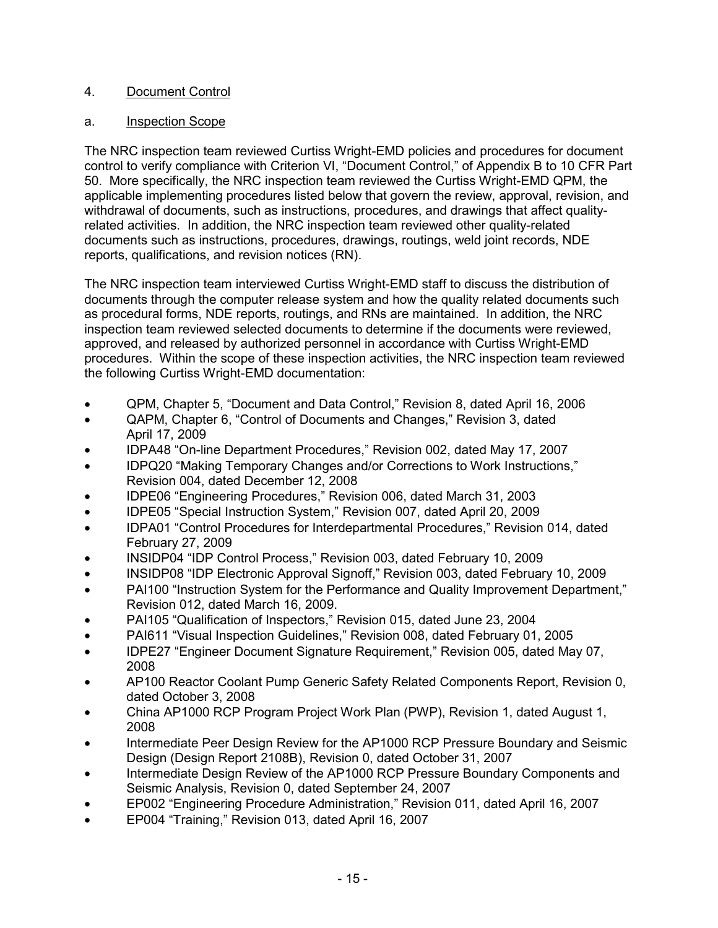## 4. Document Control

### a. Inspection Scope

The NRC inspection team reviewed Curtiss Wright-EMD policies and procedures for document control to verify compliance with Criterion VI, "Document Control," of Appendix B to 10 CFR Part 50. More specifically, the NRC inspection team reviewed the Curtiss Wright-EMD QPM, the applicable implementing procedures listed below that govern the review, approval, revision, and withdrawal of documents, such as instructions, procedures, and drawings that affect qualityrelated activities. In addition, the NRC inspection team reviewed other quality-related documents such as instructions, procedures, drawings, routings, weld joint records, NDE reports, qualifications, and revision notices (RN).

The NRC inspection team interviewed Curtiss Wright-EMD staff to discuss the distribution of documents through the computer release system and how the quality related documents such as procedural forms, NDE reports, routings, and RNs are maintained. In addition, the NRC inspection team reviewed selected documents to determine if the documents were reviewed, approved, and released by authorized personnel in accordance with Curtiss Wright-EMD procedures. Within the scope of these inspection activities, the NRC inspection team reviewed the following Curtiss Wright-EMD documentation:

- QPM, Chapter 5, "Document and Data Control," Revision 8, dated April 16, 2006
- QAPM, Chapter 6, "Control of Documents and Changes," Revision 3, dated April 17, 2009
- IDPA48 "On-line Department Procedures," Revision 002, dated May 17, 2007
- IDPQ20 "Making Temporary Changes and/or Corrections to Work Instructions," Revision 004, dated December 12, 2008
- IDPE06 "Engineering Procedures," Revision 006, dated March 31, 2003
- IDPE05 "Special Instruction System," Revision 007, dated April 20, 2009
- IDPA01 "Control Procedures for Interdepartmental Procedures," Revision 014, dated February 27, 2009
- INSIDP04 "IDP Control Process," Revision 003, dated February 10, 2009
- INSIDP08 "IDP Electronic Approval Signoff," Revision 003, dated February 10, 2009
- PAI100 "Instruction System for the Performance and Quality Improvement Department," Revision 012, dated March 16, 2009.
- PAI105 "Qualification of Inspectors," Revision 015, dated June 23, 2004
- PAI611 "Visual Inspection Guidelines," Revision 008, dated February 01, 2005
- IDPE27 "Engineer Document Signature Requirement," Revision 005, dated May 07, 2008
- AP100 Reactor Coolant Pump Generic Safety Related Components Report, Revision 0, dated October 3, 2008
- China AP1000 RCP Program Project Work Plan (PWP), Revision 1, dated August 1, 2008
- Intermediate Peer Design Review for the AP1000 RCP Pressure Boundary and Seismic Design (Design Report 2108B), Revision 0, dated October 31, 2007
- Intermediate Design Review of the AP1000 RCP Pressure Boundary Components and Seismic Analysis, Revision 0, dated September 24, 2007
- EP002 "Engineering Procedure Administration," Revision 011, dated April 16, 2007
- EP004 "Training," Revision 013, dated April 16, 2007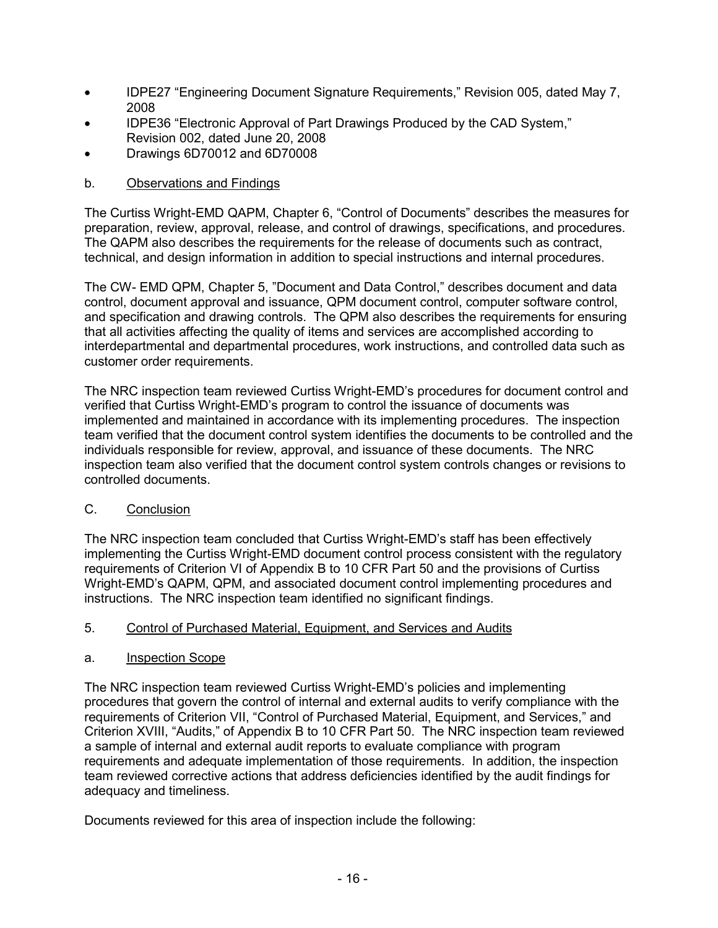- IDPE27 "Engineering Document Signature Requirements," Revision 005, dated May 7, 2008
- IDPE36 "Electronic Approval of Part Drawings Produced by the CAD System," Revision 002, dated June 20, 2008
- Drawings 6D70012 and 6D70008

## b. Observations and Findings

The Curtiss Wright-EMD QAPM, Chapter 6, "Control of Documents" describes the measures for preparation, review, approval, release, and control of drawings, specifications, and procedures. The QAPM also describes the requirements for the release of documents such as contract, technical, and design information in addition to special instructions and internal procedures.

The CW- EMD QPM, Chapter 5, "Document and Data Control," describes document and data control, document approval and issuance, QPM document control, computer software control, and specification and drawing controls. The QPM also describes the requirements for ensuring that all activities affecting the quality of items and services are accomplished according to interdepartmental and departmental procedures, work instructions, and controlled data such as customer order requirements.

The NRC inspection team reviewed Curtiss Wright-EMD's procedures for document control and verified that Curtiss Wright-EMD's program to control the issuance of documents was implemented and maintained in accordance with its implementing procedures. The inspection team verified that the document control system identifies the documents to be controlled and the individuals responsible for review, approval, and issuance of these documents. The NRC inspection team also verified that the document control system controls changes or revisions to controlled documents.

## C. Conclusion

The NRC inspection team concluded that Curtiss Wright-EMD's staff has been effectively implementing the Curtiss Wright-EMD document control process consistent with the regulatory requirements of Criterion VI of Appendix B to 10 CFR Part 50 and the provisions of Curtiss Wright-EMD's QAPM, QPM, and associated document control implementing procedures and instructions. The NRC inspection team identified no significant findings.

## 5. Control of Purchased Material, Equipment, and Services and Audits

## a. Inspection Scope

The NRC inspection team reviewed Curtiss Wright-EMD's policies and implementing procedures that govern the control of internal and external audits to verify compliance with the requirements of Criterion VII, "Control of Purchased Material, Equipment, and Services," and Criterion XVIII, "Audits," of Appendix B to 10 CFR Part 50. The NRC inspection team reviewed a sample of internal and external audit reports to evaluate compliance with program requirements and adequate implementation of those requirements. In addition, the inspection team reviewed corrective actions that address deficiencies identified by the audit findings for adequacy and timeliness.

Documents reviewed for this area of inspection include the following: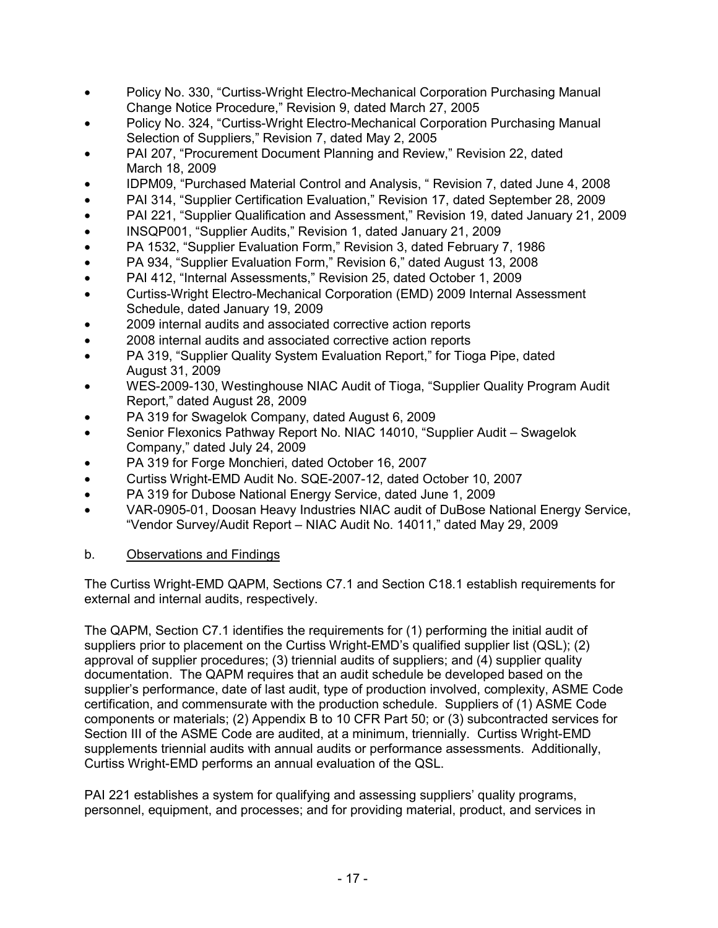- Policy No. 330, "Curtiss-Wright Electro-Mechanical Corporation Purchasing Manual Change Notice Procedure," Revision 9, dated March 27, 2005
- Policy No. 324, "Curtiss-Wright Electro-Mechanical Corporation Purchasing Manual Selection of Suppliers," Revision 7, dated May 2, 2005
- PAI 207, "Procurement Document Planning and Review," Revision 22, dated March 18, 2009
- IDPM09, "Purchased Material Control and Analysis, " Revision 7, dated June 4, 2008
- PAI 314, "Supplier Certification Evaluation," Revision 17, dated September 28, 2009
- PAI 221, "Supplier Qualification and Assessment," Revision 19, dated January 21, 2009
- INSQP001, "Supplier Audits," Revision 1, dated January 21, 2009
- PA 1532, "Supplier Evaluation Form," Revision 3, dated February 7, 1986
- PA 934, "Supplier Evaluation Form," Revision 6," dated August 13, 2008
- PAI 412, "Internal Assessments," Revision 25, dated October 1, 2009
- Curtiss-Wright Electro-Mechanical Corporation (EMD) 2009 Internal Assessment Schedule, dated January 19, 2009
- 2009 internal audits and associated corrective action reports
- 2008 internal audits and associated corrective action reports
- PA 319, "Supplier Quality System Evaluation Report," for Tioga Pipe, dated August 31, 2009
- WES-2009-130, Westinghouse NIAC Audit of Tioga, "Supplier Quality Program Audit Report," dated August 28, 2009
- PA 319 for Swagelok Company, dated August 6, 2009
- Senior Flexonics Pathway Report No. NIAC 14010, "Supplier Audit Swagelok Company," dated July 24, 2009
- PA 319 for Forge Monchieri, dated October 16, 2007
- Curtiss Wright-EMD Audit No. SQE-2007-12, dated October 10, 2007
- PA 319 for Dubose National Energy Service, dated June 1, 2009
- VAR-0905-01, Doosan Heavy Industries NIAC audit of DuBose National Energy Service, "Vendor Survey/Audit Report – NIAC Audit No. 14011," dated May 29, 2009

## b. Observations and Findings

The Curtiss Wright-EMD QAPM, Sections C7.1 and Section C18.1 establish requirements for external and internal audits, respectively.

The QAPM, Section C7.1 identifies the requirements for (1) performing the initial audit of suppliers prior to placement on the Curtiss Wright-EMD's qualified supplier list (QSL); (2) approval of supplier procedures; (3) triennial audits of suppliers; and (4) supplier quality documentation. The QAPM requires that an audit schedule be developed based on the supplier's performance, date of last audit, type of production involved, complexity, ASME Code certification, and commensurate with the production schedule. Suppliers of (1) ASME Code components or materials; (2) Appendix B to 10 CFR Part 50; or (3) subcontracted services for Section III of the ASME Code are audited, at a minimum, triennially. Curtiss Wright-EMD supplements triennial audits with annual audits or performance assessments. Additionally, Curtiss Wright-EMD performs an annual evaluation of the QSL.

PAI 221 establishes a system for qualifying and assessing suppliers' quality programs, personnel, equipment, and processes; and for providing material, product, and services in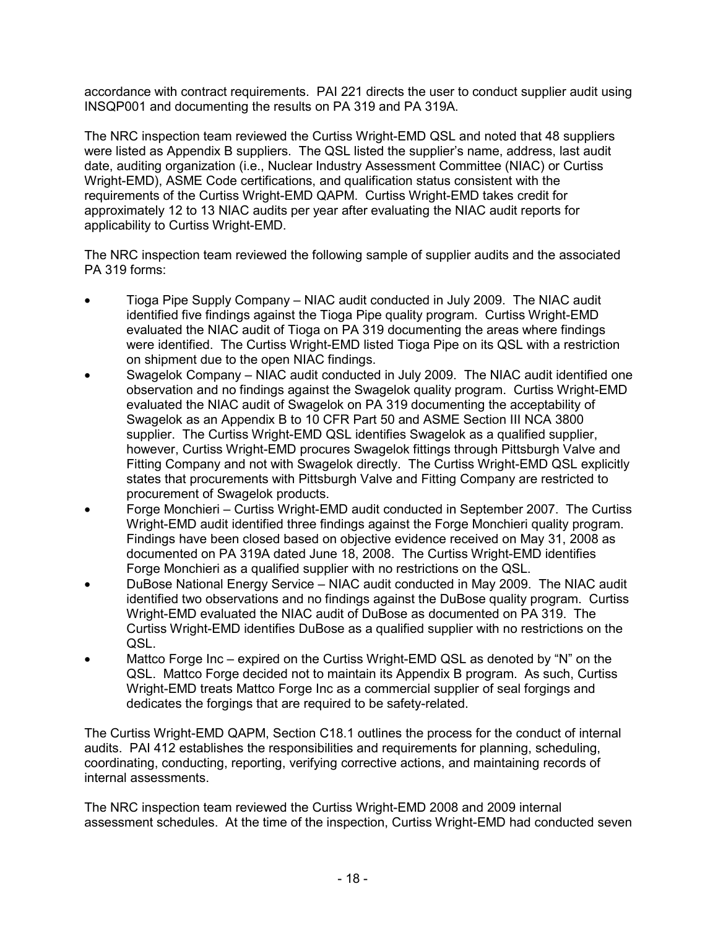accordance with contract requirements. PAI 221 directs the user to conduct supplier audit using INSQP001 and documenting the results on PA 319 and PA 319A.

The NRC inspection team reviewed the Curtiss Wright-EMD QSL and noted that 48 suppliers were listed as Appendix B suppliers. The QSL listed the supplier's name, address, last audit date, auditing organization (i.e., Nuclear Industry Assessment Committee (NIAC) or Curtiss Wright-EMD), ASME Code certifications, and qualification status consistent with the requirements of the Curtiss Wright-EMD QAPM. Curtiss Wright-EMD takes credit for approximately 12 to 13 NIAC audits per year after evaluating the NIAC audit reports for applicability to Curtiss Wright-EMD.

The NRC inspection team reviewed the following sample of supplier audits and the associated PA 319 forms:

- Tioga Pipe Supply Company NIAC audit conducted in July 2009. The NIAC audit identified five findings against the Tioga Pipe quality program. Curtiss Wright-EMD evaluated the NIAC audit of Tioga on PA 319 documenting the areas where findings were identified. The Curtiss Wright-EMD listed Tioga Pipe on its QSL with a restriction on shipment due to the open NIAC findings.
- Swagelok Company NIAC audit conducted in July 2009. The NIAC audit identified one observation and no findings against the Swagelok quality program. Curtiss Wright-EMD evaluated the NIAC audit of Swagelok on PA 319 documenting the acceptability of Swagelok as an Appendix B to 10 CFR Part 50 and ASME Section III NCA 3800 supplier. The Curtiss Wright-EMD QSL identifies Swagelok as a qualified supplier, however, Curtiss Wright-EMD procures Swagelok fittings through Pittsburgh Valve and Fitting Company and not with Swagelok directly. The Curtiss Wright-EMD QSL explicitly states that procurements with Pittsburgh Valve and Fitting Company are restricted to procurement of Swagelok products.
- Forge Monchieri Curtiss Wright-EMD audit conducted in September 2007. The Curtiss Wright-EMD audit identified three findings against the Forge Monchieri quality program. Findings have been closed based on objective evidence received on May 31, 2008 as documented on PA 319A dated June 18, 2008. The Curtiss Wright-EMD identifies Forge Monchieri as a qualified supplier with no restrictions on the QSL.
- DuBose National Energy Service NIAC audit conducted in May 2009. The NIAC audit identified two observations and no findings against the DuBose quality program. Curtiss Wright-EMD evaluated the NIAC audit of DuBose as documented on PA 319. The Curtiss Wright-EMD identifies DuBose as a qualified supplier with no restrictions on the QSL.
- Mattco Forge Inc expired on the Curtiss Wright-EMD QSL as denoted by "N" on the QSL. Mattco Forge decided not to maintain its Appendix B program. As such, Curtiss Wright-EMD treats Mattco Forge Inc as a commercial supplier of seal forgings and dedicates the forgings that are required to be safety-related.

The Curtiss Wright-EMD QAPM, Section C18.1 outlines the process for the conduct of internal audits. PAI 412 establishes the responsibilities and requirements for planning, scheduling, coordinating, conducting, reporting, verifying corrective actions, and maintaining records of internal assessments.

The NRC inspection team reviewed the Curtiss Wright-EMD 2008 and 2009 internal assessment schedules. At the time of the inspection, Curtiss Wright-EMD had conducted seven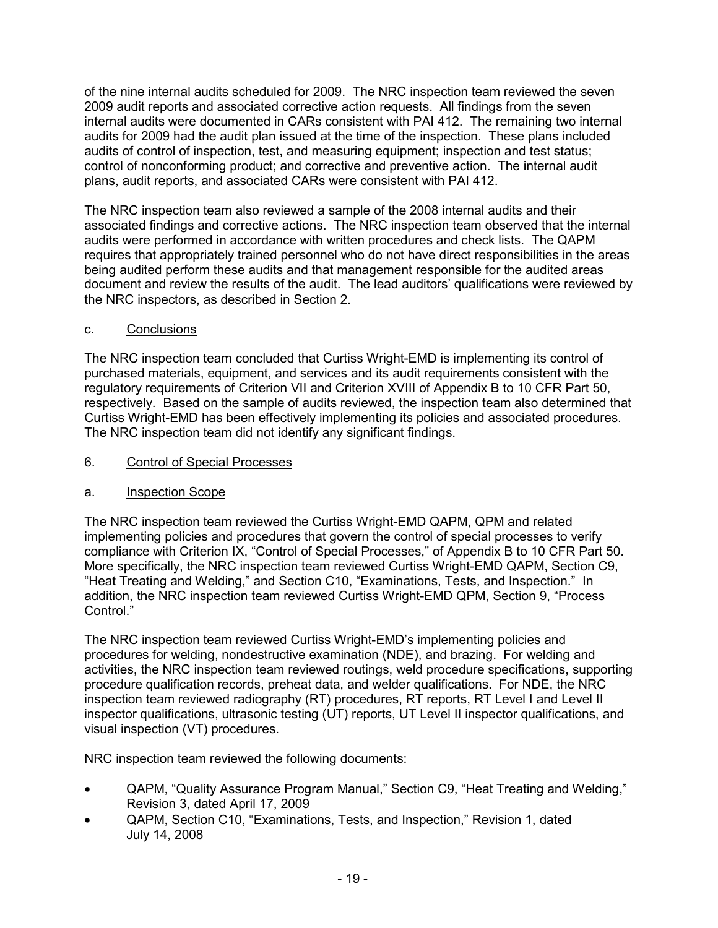of the nine internal audits scheduled for 2009. The NRC inspection team reviewed the seven 2009 audit reports and associated corrective action requests. All findings from the seven internal audits were documented in CARs consistent with PAI 412. The remaining two internal audits for 2009 had the audit plan issued at the time of the inspection. These plans included audits of control of inspection, test, and measuring equipment; inspection and test status; control of nonconforming product; and corrective and preventive action. The internal audit plans, audit reports, and associated CARs were consistent with PAI 412.

The NRC inspection team also reviewed a sample of the 2008 internal audits and their associated findings and corrective actions. The NRC inspection team observed that the internal audits were performed in accordance with written procedures and check lists. The QAPM requires that appropriately trained personnel who do not have direct responsibilities in the areas being audited perform these audits and that management responsible for the audited areas document and review the results of the audit. The lead auditors' qualifications were reviewed by the NRC inspectors, as described in Section 2.

## c. Conclusions

The NRC inspection team concluded that Curtiss Wright-EMD is implementing its control of purchased materials, equipment, and services and its audit requirements consistent with the regulatory requirements of Criterion VII and Criterion XVIII of Appendix B to 10 CFR Part 50, respectively. Based on the sample of audits reviewed, the inspection team also determined that Curtiss Wright-EMD has been effectively implementing its policies and associated procedures. The NRC inspection team did not identify any significant findings.

### 6. Control of Special Processes

## a. Inspection Scope

The NRC inspection team reviewed the Curtiss Wright-EMD QAPM, QPM and related implementing policies and procedures that govern the control of special processes to verify compliance with Criterion IX, "Control of Special Processes," of Appendix B to 10 CFR Part 50. More specifically, the NRC inspection team reviewed Curtiss Wright-EMD QAPM, Section C9, "Heat Treating and Welding," and Section C10, "Examinations, Tests, and Inspection." In addition, the NRC inspection team reviewed Curtiss Wright-EMD QPM, Section 9, "Process Control."

The NRC inspection team reviewed Curtiss Wright-EMD's implementing policies and procedures for welding, nondestructive examination (NDE), and brazing. For welding and activities, the NRC inspection team reviewed routings, weld procedure specifications, supporting procedure qualification records, preheat data, and welder qualifications. For NDE, the NRC inspection team reviewed radiography (RT) procedures, RT reports, RT Level I and Level II inspector qualifications, ultrasonic testing (UT) reports, UT Level II inspector qualifications, and visual inspection (VT) procedures.

NRC inspection team reviewed the following documents:

- QAPM, "Quality Assurance Program Manual," Section C9, "Heat Treating and Welding," Revision 3, dated April 17, 2009
- QAPM, Section C10, "Examinations, Tests, and Inspection," Revision 1, dated July 14, 2008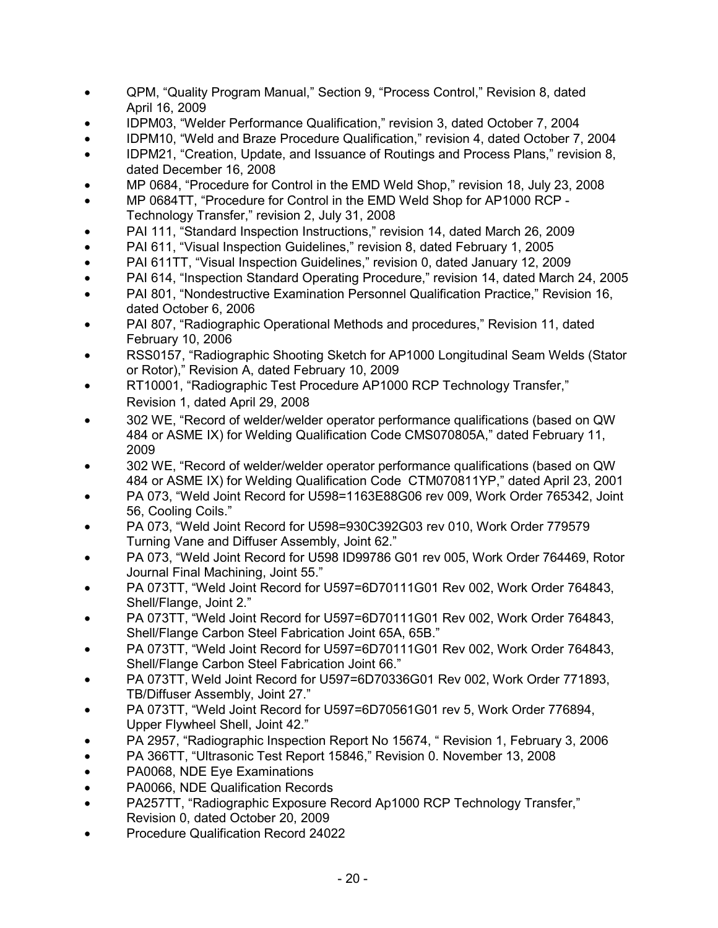- QPM, "Quality Program Manual," Section 9, "Process Control," Revision 8, dated April 16, 2009
- IDPM03, "Welder Performance Qualification," revision 3, dated October 7, 2004
- IDPM10, "Weld and Braze Procedure Qualification," revision 4, dated October 7, 2004
- IDPM21, "Creation, Update, and Issuance of Routings and Process Plans," revision 8, dated December 16, 2008
- MP 0684, "Procedure for Control in the EMD Weld Shop," revision 18, July 23, 2008
- MP 0684TT, "Procedure for Control in the EMD Weld Shop for AP1000 RCP Technology Transfer," revision 2, July 31, 2008
- PAI 111, "Standard Inspection Instructions," revision 14, dated March 26, 2009
- PAI 611, "Visual Inspection Guidelines," revision 8, dated February 1, 2005
- PAI 611TT, "Visual Inspection Guidelines," revision 0, dated January 12, 2009
- PAI 614, "Inspection Standard Operating Procedure," revision 14, dated March 24, 2005
- PAI 801, "Nondestructive Examination Personnel Qualification Practice," Revision 16, dated October 6, 2006
- PAI 807, "Radiographic Operational Methods and procedures," Revision 11, dated February 10, 2006
- RSS0157, "Radiographic Shooting Sketch for AP1000 Longitudinal Seam Welds (Stator or Rotor)," Revision A, dated February 10, 2009
- RT10001, "Radiographic Test Procedure AP1000 RCP Technology Transfer," Revision 1, dated April 29, 2008
- 302 WE, "Record of welder/welder operator performance qualifications (based on QW 484 or ASME IX) for Welding Qualification Code CMS070805A," dated February 11, 2009
- 302 WE, "Record of welder/welder operator performance qualifications (based on QW 484 or ASME IX) for Welding Qualification Code CTM070811YP," dated April 23, 2001
- PA 073, "Weld Joint Record for U598=1163E88G06 rev 009, Work Order 765342, Joint 56, Cooling Coils."
- PA 073, "Weld Joint Record for U598=930C392G03 rev 010, Work Order 779579 Turning Vane and Diffuser Assembly, Joint 62."
- PA 073, "Weld Joint Record for U598 ID99786 G01 rev 005, Work Order 764469, Rotor Journal Final Machining, Joint 55."
- PA 073TT, "Weld Joint Record for U597=6D70111G01 Rev 002, Work Order 764843, Shell/Flange, Joint 2."
- PA 073TT, "Weld Joint Record for U597=6D70111G01 Rev 002, Work Order 764843, Shell/Flange Carbon Steel Fabrication Joint 65A, 65B."
- PA 073TT, "Weld Joint Record for U597=6D70111G01 Rev 002, Work Order 764843, Shell/Flange Carbon Steel Fabrication Joint 66."
- PA 073TT, Weld Joint Record for U597=6D70336G01 Rev 002, Work Order 771893, TB/Diffuser Assembly, Joint 27."
- PA 073TT, "Weld Joint Record for U597=6D70561G01 rev 5, Work Order 776894, Upper Flywheel Shell, Joint 42."
- PA 2957, "Radiographic Inspection Report No 15674, " Revision 1, February 3, 2006
- PA 366TT, "Ultrasonic Test Report 15846," Revision 0. November 13, 2008
- PA0068, NDE Eye Examinations
- PA0066, NDE Qualification Records
- PA257TT, "Radiographic Exposure Record Ap1000 RCP Technology Transfer," Revision 0, dated October 20, 2009
- Procedure Qualification Record 24022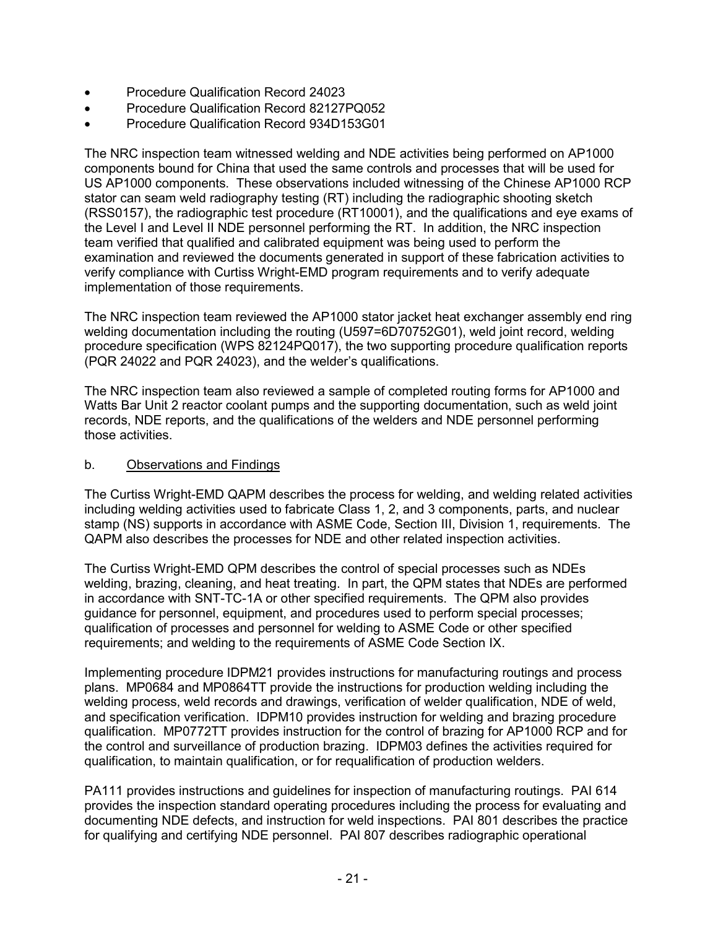- Procedure Qualification Record 24023
- Procedure Qualification Record 82127PQ052
- Procedure Qualification Record 934D153G01

The NRC inspection team witnessed welding and NDE activities being performed on AP1000 components bound for China that used the same controls and processes that will be used for US AP1000 components. These observations included witnessing of the Chinese AP1000 RCP stator can seam weld radiography testing (RT) including the radiographic shooting sketch (RSS0157), the radiographic test procedure (RT10001), and the qualifications and eye exams of the Level I and Level II NDE personnel performing the RT. In addition, the NRC inspection team verified that qualified and calibrated equipment was being used to perform the examination and reviewed the documents generated in support of these fabrication activities to verify compliance with Curtiss Wright-EMD program requirements and to verify adequate implementation of those requirements.

The NRC inspection team reviewed the AP1000 stator jacket heat exchanger assembly end ring welding documentation including the routing (U597=6D70752G01), weld joint record, welding procedure specification (WPS 82124PQ017), the two supporting procedure qualification reports (PQR 24022 and PQR 24023), and the welder's qualifications.

The NRC inspection team also reviewed a sample of completed routing forms for AP1000 and Watts Bar Unit 2 reactor coolant pumps and the supporting documentation, such as weld joint records, NDE reports, and the qualifications of the welders and NDE personnel performing those activities.

#### b. Observations and Findings

The Curtiss Wright-EMD QAPM describes the process for welding, and welding related activities including welding activities used to fabricate Class 1, 2, and 3 components, parts, and nuclear stamp (NS) supports in accordance with ASME Code, Section III, Division 1, requirements. The QAPM also describes the processes for NDE and other related inspection activities.

The Curtiss Wright-EMD QPM describes the control of special processes such as NDEs welding, brazing, cleaning, and heat treating. In part, the QPM states that NDEs are performed in accordance with SNT-TC-1A or other specified requirements. The QPM also provides guidance for personnel, equipment, and procedures used to perform special processes; qualification of processes and personnel for welding to ASME Code or other specified requirements; and welding to the requirements of ASME Code Section IX.

Implementing procedure IDPM21 provides instructions for manufacturing routings and process plans. MP0684 and MP0864TT provide the instructions for production welding including the welding process, weld records and drawings, verification of welder qualification, NDE of weld, and specification verification. IDPM10 provides instruction for welding and brazing procedure qualification. MP0772TT provides instruction for the control of brazing for AP1000 RCP and for the control and surveillance of production brazing. IDPM03 defines the activities required for qualification, to maintain qualification, or for requalification of production welders.

PA111 provides instructions and guidelines for inspection of manufacturing routings. PAI 614 provides the inspection standard operating procedures including the process for evaluating and documenting NDE defects, and instruction for weld inspections. PAI 801 describes the practice for qualifying and certifying NDE personnel. PAI 807 describes radiographic operational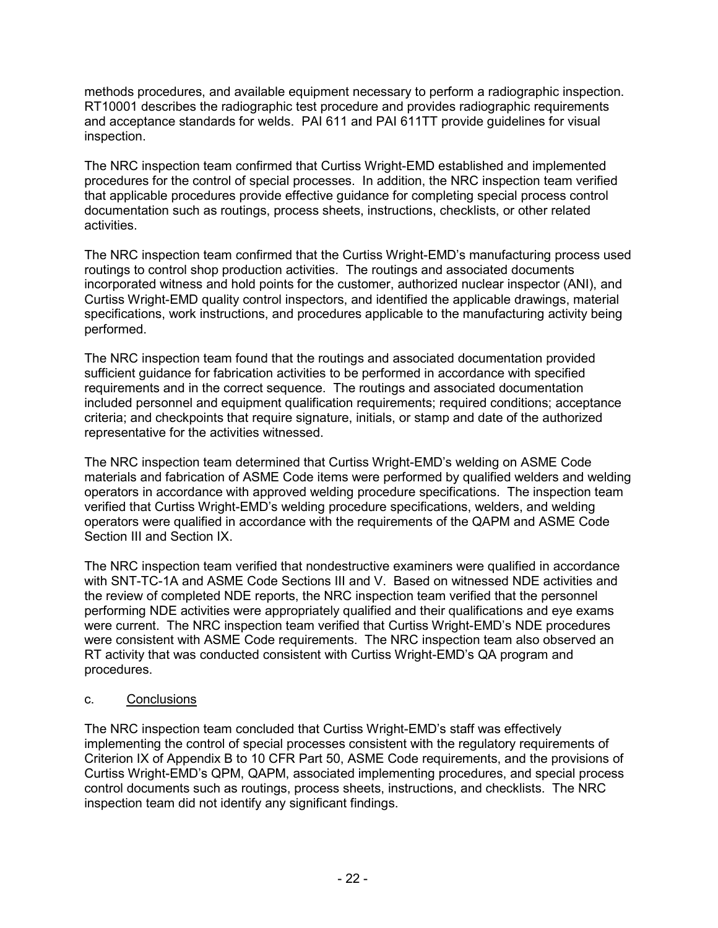methods procedures, and available equipment necessary to perform a radiographic inspection. RT10001 describes the radiographic test procedure and provides radiographic requirements and acceptance standards for welds. PAI 611 and PAI 611TT provide guidelines for visual inspection.

The NRC inspection team confirmed that Curtiss Wright-EMD established and implemented procedures for the control of special processes. In addition, the NRC inspection team verified that applicable procedures provide effective guidance for completing special process control documentation such as routings, process sheets, instructions, checklists, or other related activities.

The NRC inspection team confirmed that the Curtiss Wright-EMD's manufacturing process used routings to control shop production activities. The routings and associated documents incorporated witness and hold points for the customer, authorized nuclear inspector (ANI), and Curtiss Wright-EMD quality control inspectors, and identified the applicable drawings, material specifications, work instructions, and procedures applicable to the manufacturing activity being performed.

The NRC inspection team found that the routings and associated documentation provided sufficient guidance for fabrication activities to be performed in accordance with specified requirements and in the correct sequence. The routings and associated documentation included personnel and equipment qualification requirements; required conditions; acceptance criteria; and checkpoints that require signature, initials, or stamp and date of the authorized representative for the activities witnessed.

The NRC inspection team determined that Curtiss Wright-EMD's welding on ASME Code materials and fabrication of ASME Code items were performed by qualified welders and welding operators in accordance with approved welding procedure specifications. The inspection team verified that Curtiss Wright-EMD's welding procedure specifications, welders, and welding operators were qualified in accordance with the requirements of the QAPM and ASME Code Section III and Section IX.

The NRC inspection team verified that nondestructive examiners were qualified in accordance with SNT-TC-1A and ASME Code Sections III and V. Based on witnessed NDE activities and the review of completed NDE reports, the NRC inspection team verified that the personnel performing NDE activities were appropriately qualified and their qualifications and eye exams were current. The NRC inspection team verified that Curtiss Wright-EMD's NDE procedures were consistent with ASME Code requirements. The NRC inspection team also observed an RT activity that was conducted consistent with Curtiss Wright-EMD's QA program and procedures.

## c. Conclusions

The NRC inspection team concluded that Curtiss Wright-EMD's staff was effectively implementing the control of special processes consistent with the regulatory requirements of Criterion IX of Appendix B to 10 CFR Part 50, ASME Code requirements, and the provisions of Curtiss Wright-EMD's QPM, QAPM, associated implementing procedures, and special process control documents such as routings, process sheets, instructions, and checklists. The NRC inspection team did not identify any significant findings.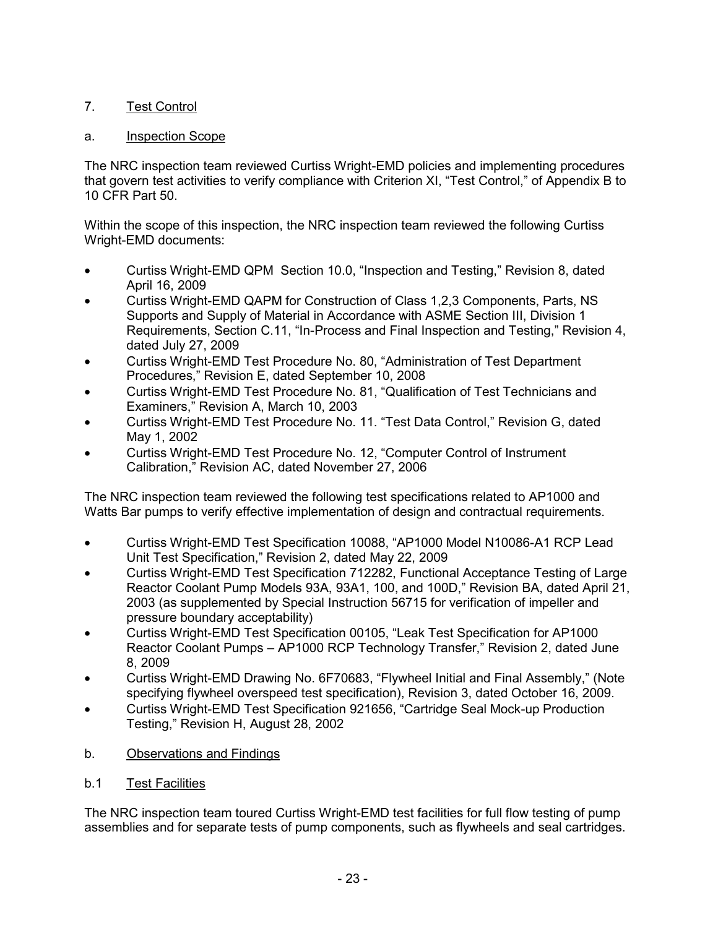# 7. Test Control

### a. Inspection Scope

The NRC inspection team reviewed Curtiss Wright-EMD policies and implementing procedures that govern test activities to verify compliance with Criterion XI, "Test Control," of Appendix B to 10 CFR Part 50.

Within the scope of this inspection, the NRC inspection team reviewed the following Curtiss Wright-EMD documents:

- Curtiss Wright-EMD QPM Section 10.0, "Inspection and Testing," Revision 8, dated April 16, 2009
- Curtiss Wright-EMD QAPM for Construction of Class 1,2,3 Components, Parts, NS Supports and Supply of Material in Accordance with ASME Section III, Division 1 Requirements, Section C.11, "In-Process and Final Inspection and Testing," Revision 4, dated July 27, 2009
- Curtiss Wright-EMD Test Procedure No. 80, "Administration of Test Department Procedures," Revision E, dated September 10, 2008
- Curtiss Wright-EMD Test Procedure No. 81, "Qualification of Test Technicians and Examiners," Revision A, March 10, 2003
- Curtiss Wright-EMD Test Procedure No. 11. "Test Data Control," Revision G, dated May 1, 2002
- Curtiss Wright-EMD Test Procedure No. 12, "Computer Control of Instrument Calibration," Revision AC, dated November 27, 2006

The NRC inspection team reviewed the following test specifications related to AP1000 and Watts Bar pumps to verify effective implementation of design and contractual requirements.

- Curtiss Wright-EMD Test Specification 10088, "AP1000 Model N10086-A1 RCP Lead Unit Test Specification," Revision 2, dated May 22, 2009
- Curtiss Wright-EMD Test Specification 712282, Functional Acceptance Testing of Large Reactor Coolant Pump Models 93A, 93A1, 100, and 100D," Revision BA, dated April 21, 2003 (as supplemented by Special Instruction 56715 for verification of impeller and pressure boundary acceptability)
- Curtiss Wright-EMD Test Specification 00105, "Leak Test Specification for AP1000 Reactor Coolant Pumps – AP1000 RCP Technology Transfer," Revision 2, dated June 8, 2009
- Curtiss Wright-EMD Drawing No. 6F70683, "Flywheel Initial and Final Assembly," (Note specifying flywheel overspeed test specification), Revision 3, dated October 16, 2009.
- Curtiss Wright-EMD Test Specification 921656, "Cartridge Seal Mock-up Production Testing," Revision H, August 28, 2002
- b. Observations and Findings
- b.1 Test Facilities

The NRC inspection team toured Curtiss Wright-EMD test facilities for full flow testing of pump assemblies and for separate tests of pump components, such as flywheels and seal cartridges.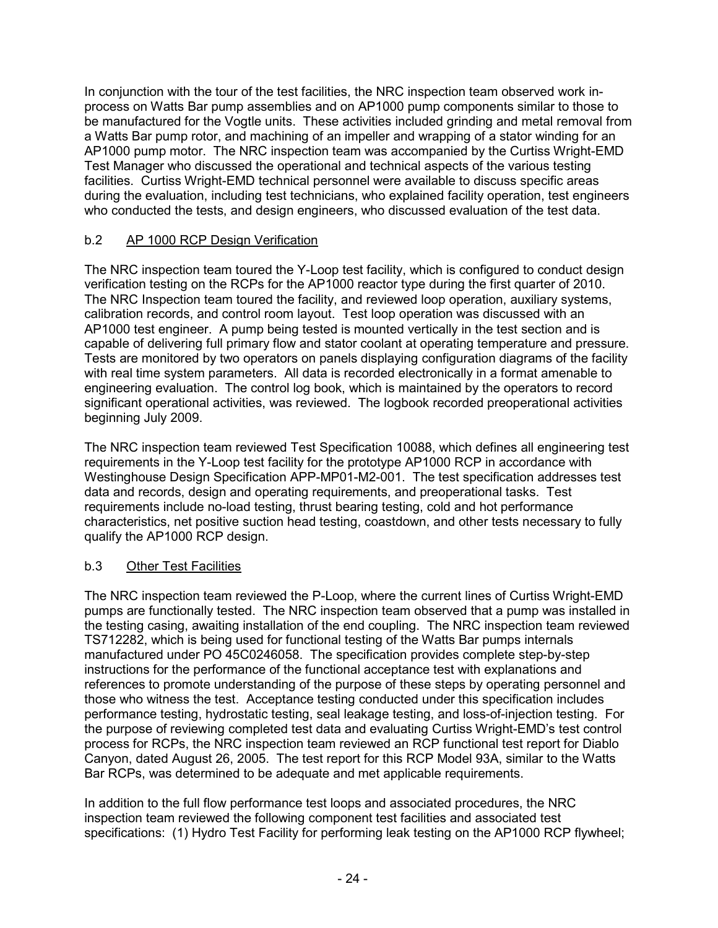In conjunction with the tour of the test facilities, the NRC inspection team observed work inprocess on Watts Bar pump assemblies and on AP1000 pump components similar to those to be manufactured for the Vogtle units. These activities included grinding and metal removal from a Watts Bar pump rotor, and machining of an impeller and wrapping of a stator winding for an AP1000 pump motor. The NRC inspection team was accompanied by the Curtiss Wright-EMD Test Manager who discussed the operational and technical aspects of the various testing facilities. Curtiss Wright-EMD technical personnel were available to discuss specific areas during the evaluation, including test technicians, who explained facility operation, test engineers who conducted the tests, and design engineers, who discussed evaluation of the test data.

## b.2 AP 1000 RCP Design Verification

The NRC inspection team toured the Y-Loop test facility, which is configured to conduct design verification testing on the RCPs for the AP1000 reactor type during the first quarter of 2010. The NRC Inspection team toured the facility, and reviewed loop operation, auxiliary systems, calibration records, and control room layout. Test loop operation was discussed with an AP1000 test engineer. A pump being tested is mounted vertically in the test section and is capable of delivering full primary flow and stator coolant at operating temperature and pressure. Tests are monitored by two operators on panels displaying configuration diagrams of the facility with real time system parameters. All data is recorded electronically in a format amenable to engineering evaluation. The control log book, which is maintained by the operators to record significant operational activities, was reviewed. The logbook recorded preoperational activities beginning July 2009.

The NRC inspection team reviewed Test Specification 10088, which defines all engineering test requirements in the Y-Loop test facility for the prototype AP1000 RCP in accordance with Westinghouse Design Specification APP-MP01-M2-001. The test specification addresses test data and records, design and operating requirements, and preoperational tasks. Test requirements include no-load testing, thrust bearing testing, cold and hot performance characteristics, net positive suction head testing, coastdown, and other tests necessary to fully qualify the AP1000 RCP design.

# b.3 Other Test Facilities

The NRC inspection team reviewed the P-Loop, where the current lines of Curtiss Wright-EMD pumps are functionally tested. The NRC inspection team observed that a pump was installed in the testing casing, awaiting installation of the end coupling. The NRC inspection team reviewed TS712282, which is being used for functional testing of the Watts Bar pumps internals manufactured under PO 45C0246058. The specification provides complete step-by-step instructions for the performance of the functional acceptance test with explanations and references to promote understanding of the purpose of these steps by operating personnel and those who witness the test. Acceptance testing conducted under this specification includes performance testing, hydrostatic testing, seal leakage testing, and loss-of-injection testing. For the purpose of reviewing completed test data and evaluating Curtiss Wright-EMD's test control process for RCPs, the NRC inspection team reviewed an RCP functional test report for Diablo Canyon, dated August 26, 2005. The test report for this RCP Model 93A, similar to the Watts Bar RCPs, was determined to be adequate and met applicable requirements.

In addition to the full flow performance test loops and associated procedures, the NRC inspection team reviewed the following component test facilities and associated test specifications: (1) Hydro Test Facility for performing leak testing on the AP1000 RCP flywheel;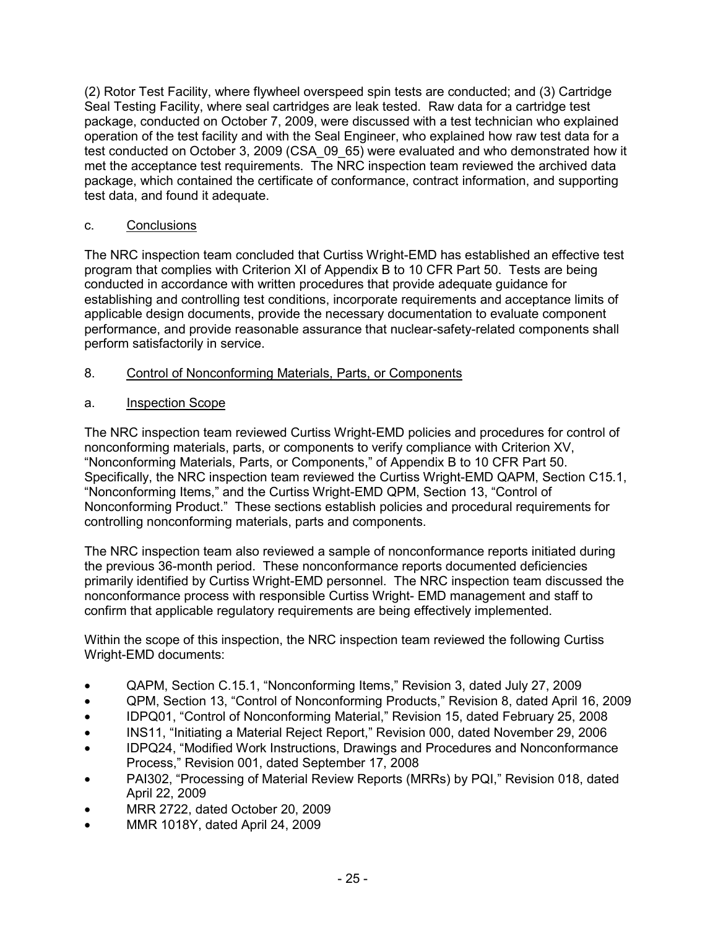(2) Rotor Test Facility, where flywheel overspeed spin tests are conducted; and (3) Cartridge Seal Testing Facility, where seal cartridges are leak tested. Raw data for a cartridge test package, conducted on October 7, 2009, were discussed with a test technician who explained operation of the test facility and with the Seal Engineer, who explained how raw test data for a test conducted on October 3, 2009 (CSA\_09\_65) were evaluated and who demonstrated how it met the acceptance test requirements. The NRC inspection team reviewed the archived data package, which contained the certificate of conformance, contract information, and supporting test data, and found it adequate.

## c. Conclusions

The NRC inspection team concluded that Curtiss Wright-EMD has established an effective test program that complies with Criterion XI of Appendix B to 10 CFR Part 50. Tests are being conducted in accordance with written procedures that provide adequate guidance for establishing and controlling test conditions, incorporate requirements and acceptance limits of applicable design documents, provide the necessary documentation to evaluate component performance, and provide reasonable assurance that nuclear-safety-related components shall perform satisfactorily in service.

## 8. Control of Nonconforming Materials, Parts, or Components

## a. Inspection Scope

The NRC inspection team reviewed Curtiss Wright-EMD policies and procedures for control of nonconforming materials, parts, or components to verify compliance with Criterion XV, "Nonconforming Materials, Parts, or Components," of Appendix B to 10 CFR Part 50. Specifically, the NRC inspection team reviewed the Curtiss Wright-EMD QAPM, Section C15.1, "Nonconforming Items," and the Curtiss Wright-EMD QPM, Section 13, "Control of Nonconforming Product." These sections establish policies and procedural requirements for controlling nonconforming materials, parts and components.

The NRC inspection team also reviewed a sample of nonconformance reports initiated during the previous 36-month period. These nonconformance reports documented deficiencies primarily identified by Curtiss Wright-EMD personnel. The NRC inspection team discussed the nonconformance process with responsible Curtiss Wright- EMD management and staff to confirm that applicable regulatory requirements are being effectively implemented.

Within the scope of this inspection, the NRC inspection team reviewed the following Curtiss Wright-EMD documents:

- QAPM, Section C.15.1, "Nonconforming Items," Revision 3, dated July 27, 2009
- QPM, Section 13, "Control of Nonconforming Products," Revision 8, dated April 16, 2009
- IDPQ01, "Control of Nonconforming Material," Revision 15, dated February 25, 2008
- INS11, "Initiating a Material Reject Report," Revision 000, dated November 29, 2006
- IDPQ24, "Modified Work Instructions, Drawings and Procedures and Nonconformance Process," Revision 001, dated September 17, 2008
- PAI302, "Processing of Material Review Reports (MRRs) by PQI," Revision 018, dated April 22, 2009
- MRR 2722, dated October 20, 2009
- MMR 1018Y, dated April 24, 2009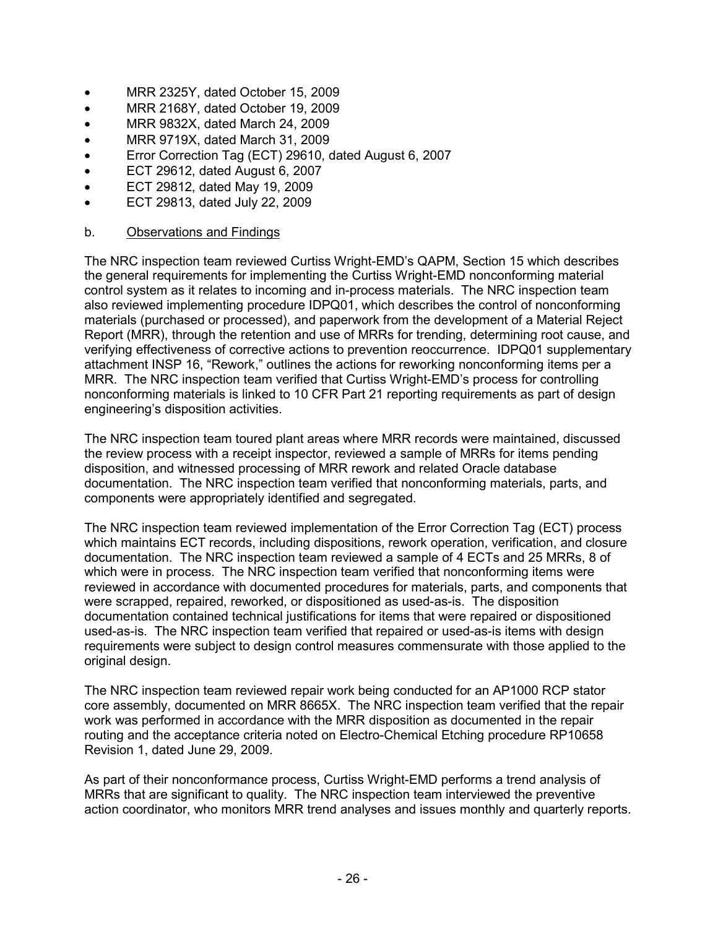- MRR 2325Y, dated October 15, 2009
- MRR 2168Y, dated October 19, 2009
- MRR 9832X, dated March 24, 2009
- MRR 9719X, dated March 31, 2009
- Error Correction Tag (ECT) 29610, dated August 6, 2007
- ECT 29612, dated August 6, 2007
- ECT 29812, dated May 19, 2009
- ECT 29813, dated July 22, 2009

### b. Observations and Findings

The NRC inspection team reviewed Curtiss Wright-EMD's QAPM, Section 15 which describes the general requirements for implementing the Curtiss Wright-EMD nonconforming material control system as it relates to incoming and in-process materials. The NRC inspection team also reviewed implementing procedure IDPQ01, which describes the control of nonconforming materials (purchased or processed), and paperwork from the development of a Material Reject Report (MRR), through the retention and use of MRRs for trending, determining root cause, and verifying effectiveness of corrective actions to prevention reoccurrence. IDPQ01 supplementary attachment INSP 16, "Rework," outlines the actions for reworking nonconforming items per a MRR. The NRC inspection team verified that Curtiss Wright-EMD's process for controlling nonconforming materials is linked to 10 CFR Part 21 reporting requirements as part of design engineering's disposition activities.

The NRC inspection team toured plant areas where MRR records were maintained, discussed the review process with a receipt inspector, reviewed a sample of MRRs for items pending disposition, and witnessed processing of MRR rework and related Oracle database documentation. The NRC inspection team verified that nonconforming materials, parts, and components were appropriately identified and segregated.

The NRC inspection team reviewed implementation of the Error Correction Tag (ECT) process which maintains ECT records, including dispositions, rework operation, verification, and closure documentation. The NRC inspection team reviewed a sample of 4 ECTs and 25 MRRs, 8 of which were in process. The NRC inspection team verified that nonconforming items were reviewed in accordance with documented procedures for materials, parts, and components that were scrapped, repaired, reworked, or dispositioned as used-as-is. The disposition documentation contained technical justifications for items that were repaired or dispositioned used-as-is. The NRC inspection team verified that repaired or used-as-is items with design requirements were subject to design control measures commensurate with those applied to the original design.

The NRC inspection team reviewed repair work being conducted for an AP1000 RCP stator core assembly, documented on MRR 8665X. The NRC inspection team verified that the repair work was performed in accordance with the MRR disposition as documented in the repair routing and the acceptance criteria noted on Electro-Chemical Etching procedure RP10658 Revision 1, dated June 29, 2009.

As part of their nonconformance process, Curtiss Wright-EMD performs a trend analysis of MRRs that are significant to quality. The NRC inspection team interviewed the preventive action coordinator, who monitors MRR trend analyses and issues monthly and quarterly reports.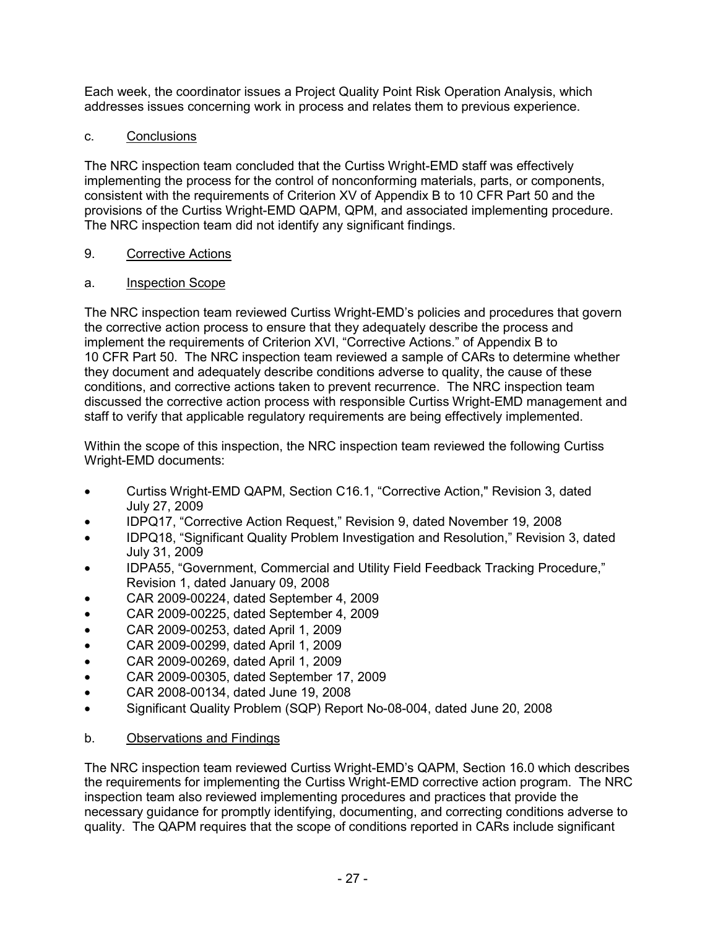Each week, the coordinator issues a Project Quality Point Risk Operation Analysis, which addresses issues concerning work in process and relates them to previous experience.

## c. Conclusions

The NRC inspection team concluded that the Curtiss Wright-EMD staff was effectively implementing the process for the control of nonconforming materials, parts, or components, consistent with the requirements of Criterion XV of Appendix B to 10 CFR Part 50 and the provisions of the Curtiss Wright-EMD QAPM, QPM, and associated implementing procedure. The NRC inspection team did not identify any significant findings.

## 9. Corrective Actions

## a. Inspection Scope

The NRC inspection team reviewed Curtiss Wright-EMD's policies and procedures that govern the corrective action process to ensure that they adequately describe the process and implement the requirements of Criterion XVI, "Corrective Actions." of Appendix B to 10 CFR Part 50. The NRC inspection team reviewed a sample of CARs to determine whether they document and adequately describe conditions adverse to quality, the cause of these conditions, and corrective actions taken to prevent recurrence. The NRC inspection team discussed the corrective action process with responsible Curtiss Wright-EMD management and staff to verify that applicable regulatory requirements are being effectively implemented.

Within the scope of this inspection, the NRC inspection team reviewed the following Curtiss Wright-EMD documents:

- Curtiss Wright-EMD QAPM, Section C16.1, "Corrective Action," Revision 3, dated July 27, 2009
- IDPQ17, "Corrective Action Request," Revision 9, dated November 19, 2008
- IDPQ18, "Significant Quality Problem Investigation and Resolution," Revision 3, dated July 31, 2009
- IDPA55, "Government, Commercial and Utility Field Feedback Tracking Procedure," Revision 1, dated January 09, 2008
- CAR 2009-00224, dated September 4, 2009
- CAR 2009-00225, dated September 4, 2009
- CAR 2009-00253, dated April 1, 2009
- CAR 2009-00299, dated April 1, 2009
- CAR 2009-00269, dated April 1, 2009
- CAR 2009-00305, dated September 17, 2009
- CAR 2008-00134, dated June 19, 2008
- Significant Quality Problem (SQP) Report No-08-004, dated June 20, 2008

## b. Observations and Findings

The NRC inspection team reviewed Curtiss Wright-EMD's QAPM, Section 16.0 which describes the requirements for implementing the Curtiss Wright-EMD corrective action program. The NRC inspection team also reviewed implementing procedures and practices that provide the necessary guidance for promptly identifying, documenting, and correcting conditions adverse to quality. The QAPM requires that the scope of conditions reported in CARs include significant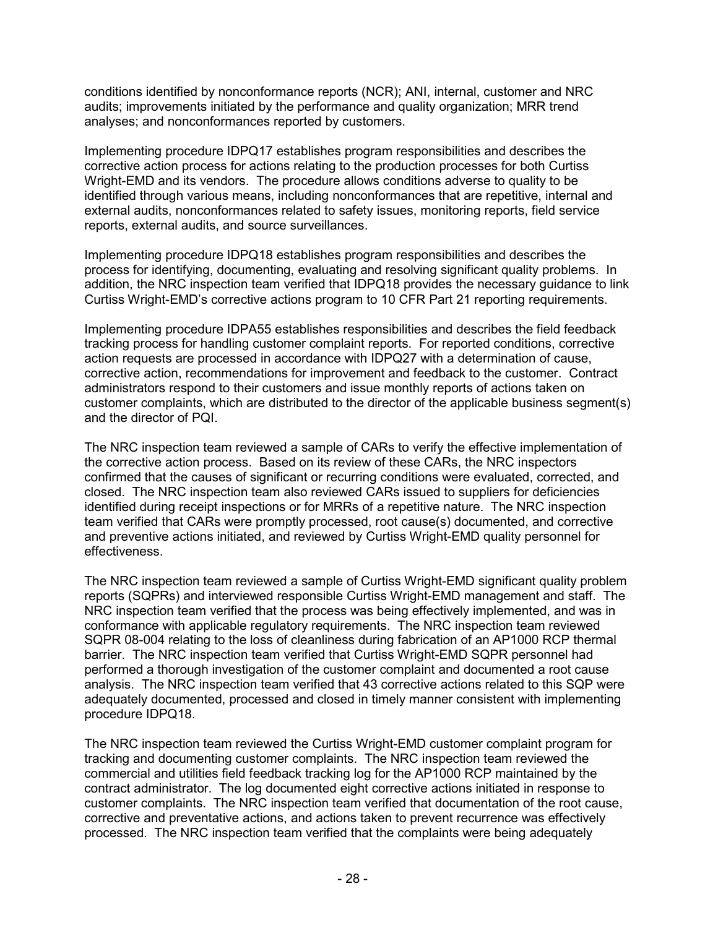conditions identified by nonconformance reports (NCR); ANI, internal, customer and NRC audits; improvements initiated by the performance and quality organization; MRR trend analyses; and nonconformances reported by customers.

Implementing procedure IDPQ17 establishes program responsibilities and describes the corrective action process for actions relating to the production processes for both Curtiss Wright-EMD and its vendors. The procedure allows conditions adverse to quality to be identified through various means, including nonconformances that are repetitive, internal and external audits, nonconformances related to safety issues, monitoring reports, field service reports, external audits, and source surveillances.

Implementing procedure IDPQ18 establishes program responsibilities and describes the process for identifying, documenting, evaluating and resolving significant quality problems. In addition, the NRC inspection team verified that IDPQ18 provides the necessary guidance to link Curtiss Wright-EMD's corrective actions program to 10 CFR Part 21 reporting requirements.

Implementing procedure IDPA55 establishes responsibilities and describes the field feedback tracking process for handling customer complaint reports. For reported conditions, corrective action requests are processed in accordance with IDPQ27 with a determination of cause, corrective action, recommendations for improvement and feedback to the customer. Contract administrators respond to their customers and issue monthly reports of actions taken on customer complaints, which are distributed to the director of the applicable business segment(s) and the director of PQI.

The NRC inspection team reviewed a sample of CARs to verify the effective implementation of the corrective action process. Based on its review of these CARs, the NRC inspectors confirmed that the causes of significant or recurring conditions were evaluated, corrected, and closed. The NRC inspection team also reviewed CARs issued to suppliers for deficiencies identified during receipt inspections or for MRRs of a repetitive nature. The NRC inspection team verified that CARs were promptly processed, root cause(s) documented, and corrective and preventive actions initiated, and reviewed by Curtiss Wright-EMD quality personnel for effectiveness.

The NRC inspection team reviewed a sample of Curtiss Wright-EMD significant quality problem reports (SQPRs) and interviewed responsible Curtiss Wright-EMD management and staff. The NRC inspection team verified that the process was being effectively implemented, and was in conformance with applicable regulatory requirements. The NRC inspection team reviewed SQPR 08-004 relating to the loss of cleanliness during fabrication of an AP1000 RCP thermal barrier. The NRC inspection team verified that Curtiss Wright-EMD SQPR personnel had performed a thorough investigation of the customer complaint and documented a root cause analysis. The NRC inspection team verified that 43 corrective actions related to this SQP were adequately documented, processed and closed in timely manner consistent with implementing procedure IDPQ18.

The NRC inspection team reviewed the Curtiss Wright-EMD customer complaint program for tracking and documenting customer complaints. The NRC inspection team reviewed the commercial and utilities field feedback tracking log for the AP1000 RCP maintained by the contract administrator. The log documented eight corrective actions initiated in response to customer complaints. The NRC inspection team verified that documentation of the root cause, corrective and preventative actions, and actions taken to prevent recurrence was effectively processed. The NRC inspection team verified that the complaints were being adequately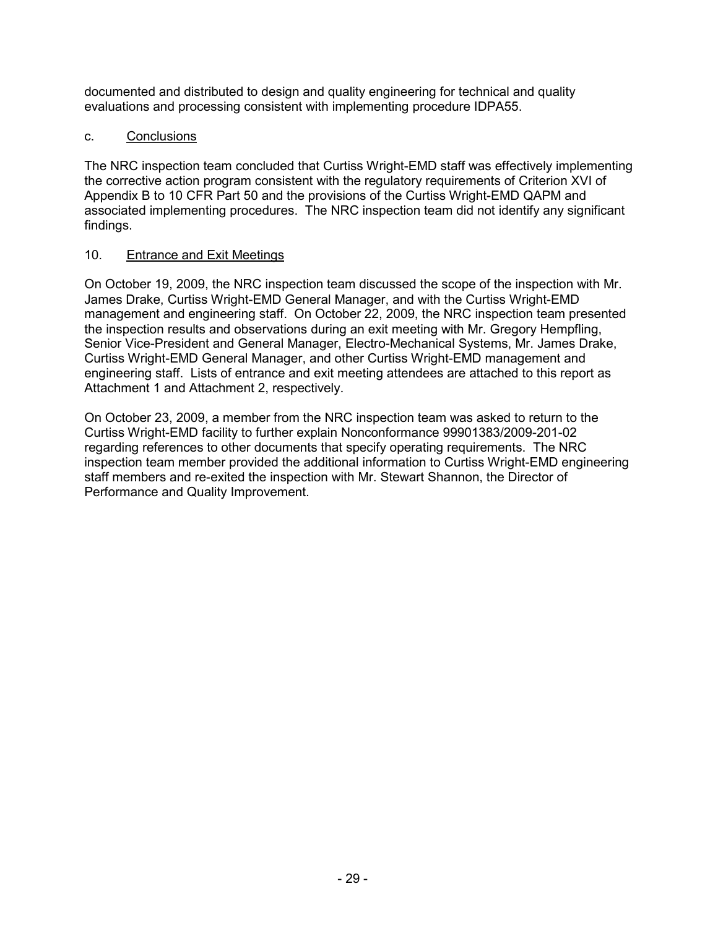documented and distributed to design and quality engineering for technical and quality evaluations and processing consistent with implementing procedure IDPA55.

## c. Conclusions

The NRC inspection team concluded that Curtiss Wright-EMD staff was effectively implementing the corrective action program consistent with the regulatory requirements of Criterion XVI of Appendix B to 10 CFR Part 50 and the provisions of the Curtiss Wright-EMD QAPM and associated implementing procedures. The NRC inspection team did not identify any significant findings.

## 10. Entrance and Exit Meetings

On October 19, 2009, the NRC inspection team discussed the scope of the inspection with Mr. James Drake, Curtiss Wright-EMD General Manager, and with the Curtiss Wright-EMD management and engineering staff. On October 22, 2009, the NRC inspection team presented the inspection results and observations during an exit meeting with Mr. Gregory Hempfling, Senior Vice-President and General Manager, Electro-Mechanical Systems, Mr. James Drake, Curtiss Wright-EMD General Manager, and other Curtiss Wright-EMD management and engineering staff. Lists of entrance and exit meeting attendees are attached to this report as Attachment 1 and Attachment 2, respectively.

On October 23, 2009, a member from the NRC inspection team was asked to return to the Curtiss Wright-EMD facility to further explain Nonconformance 99901383/2009-201-02 regarding references to other documents that specify operating requirements. The NRC inspection team member provided the additional information to Curtiss Wright-EMD engineering staff members and re-exited the inspection with Mr. Stewart Shannon, the Director of Performance and Quality Improvement.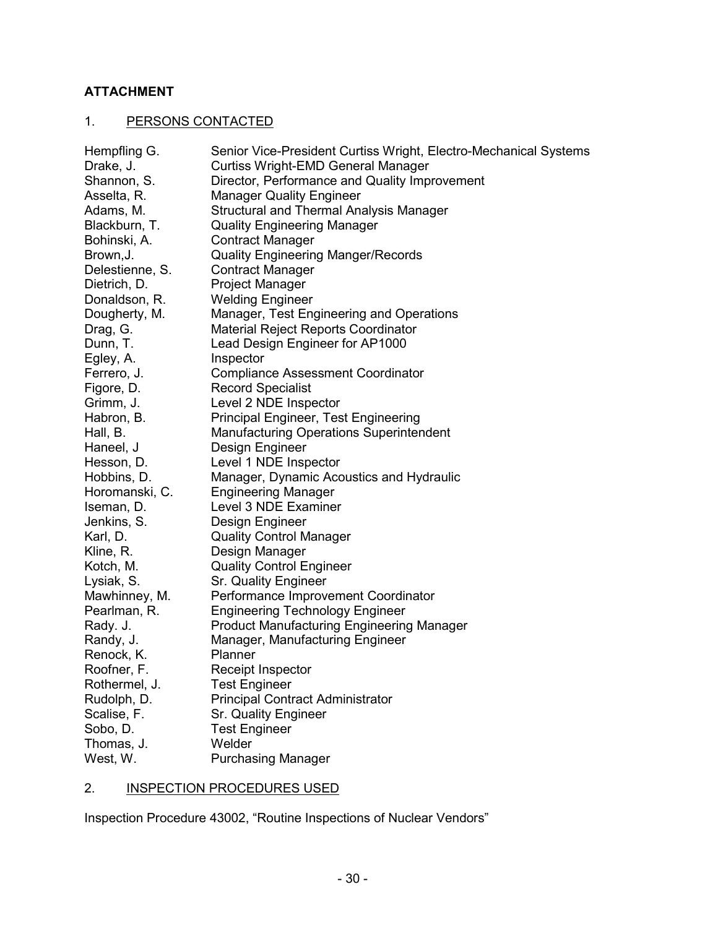## **ATTACHMENT**

# 1. PERSONS CONTACTED

| Hempfling G.    | Senior Vice-President Curtiss Wright, Electro-Mechanical Systems |
|-----------------|------------------------------------------------------------------|
| Drake, J.       | <b>Curtiss Wright-EMD General Manager</b>                        |
| Shannon, S.     | Director, Performance and Quality Improvement                    |
| Asselta, R.     | <b>Manager Quality Engineer</b>                                  |
| Adams, M.       | Structural and Thermal Analysis Manager                          |
| Blackburn, T.   | <b>Quality Engineering Manager</b>                               |
| Bohinski, A.    | <b>Contract Manager</b>                                          |
| Brown, J.       | <b>Quality Engineering Manger/Records</b>                        |
| Delestienne, S. | <b>Contract Manager</b>                                          |
| Dietrich, D.    | <b>Project Manager</b>                                           |
| Donaldson, R.   | <b>Welding Engineer</b>                                          |
| Dougherty, M.   | Manager, Test Engineering and Operations                         |
| Drag, G.        | <b>Material Reject Reports Coordinator</b>                       |
| Dunn, T.        | Lead Design Engineer for AP1000                                  |
| Egley, A.       | Inspector                                                        |
| Ferrero, J.     | <b>Compliance Assessment Coordinator</b>                         |
| Figore, D.      | <b>Record Specialist</b>                                         |
| Grimm, J.       | Level 2 NDE Inspector                                            |
| Habron, B.      | Principal Engineer, Test Engineering                             |
| Hall, B.        | <b>Manufacturing Operations Superintendent</b>                   |
| Haneel, J       | Design Engineer                                                  |
| Hesson, D.      | Level 1 NDE Inspector                                            |
| Hobbins, D.     | Manager, Dynamic Acoustics and Hydraulic                         |
| Horomanski, C.  | <b>Engineering Manager</b>                                       |
| Iseman, D.      | Level 3 NDE Examiner                                             |
| Jenkins, S.     | Design Engineer                                                  |
| Karl, D.        | <b>Quality Control Manager</b>                                   |
| Kline, R.       | Design Manager                                                   |
| Kotch, M.       | <b>Quality Control Engineer</b>                                  |
| Lysiak, S.      | Sr. Quality Engineer                                             |
| Mawhinney, M.   | Performance Improvement Coordinator                              |
| Pearlman, R.    | <b>Engineering Technology Engineer</b>                           |
| Rady. J.        | <b>Product Manufacturing Engineering Manager</b>                 |
| Randy, J.       | Manager, Manufacturing Engineer                                  |
| Renock, K.      | Planner                                                          |
| Roofner, F.     | Receipt Inspector                                                |
| Rothermel, J.   | <b>Test Engineer</b>                                             |
| Rudolph, D.     | <b>Principal Contract Administrator</b>                          |
| Scalise, F.     | Sr. Quality Engineer                                             |
| Sobo, D.        | <b>Test Engineer</b>                                             |
| Thomas, J.      | Welder                                                           |
| West, W.        | <b>Purchasing Manager</b>                                        |

# 2. **INSPECTION PROCEDURES USED**

Inspection Procedure 43002, "Routine Inspections of Nuclear Vendors"